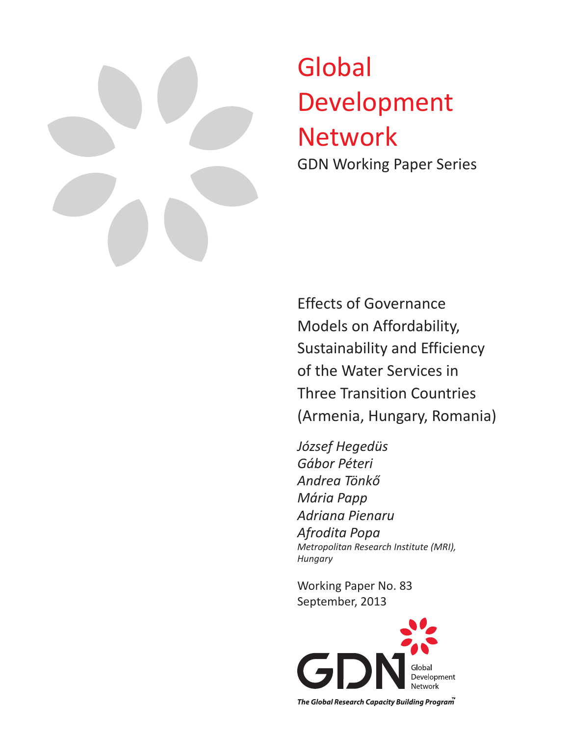

# Global Development Network GDN Working Paper Series

Effects of Governance Models on Affordability, Sustainability and Efficiency of the Water Services in Three Transition Countries (Armenia, Hungary, Romania)

*József Hegedüs Gábor Péteri Andrea Tönkő Mária Papp Adriana Pienaru Afrodita Popa Metropolitan Research Institute (MRI), Hungary*

Working Paper No. 83 September, 2013



The Global Research Capacity Building Program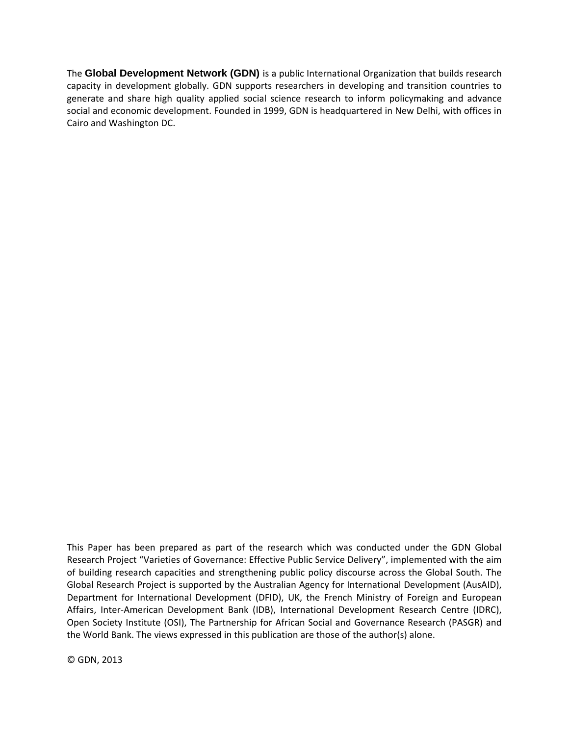The **Global Development Network (GDN)** is a public International Organization that builds research capacity in development globally. GDN supports researchers in developing and transition countries to generate and share high quality applied social science research to inform policymaking and advance social and economic development. Founded in 1999, GDN is headquartered in New Delhi, with offices in Cairo and Washington DC.

This Paper has been prepared as part of the research which was conducted under the GDN Global Research Project "Varieties of Governance: Effective Public Service Delivery", implemented with the aim of building research capacities and strengthening public policy discourse across the Global South. The Global Research Project is supported by the Australian Agency for International Development (AusAID), Department for International Development (DFID), UK, the French Ministry of Foreign and European Affairs, Inter‐American Development Bank (IDB), International Development Research Centre (IDRC), Open Society Institute (OSI), The Partnership for African Social and Governance Research (PASGR) and the World Bank. The views expressed in this publication are those of the author(s) alone.

© GDN, 2013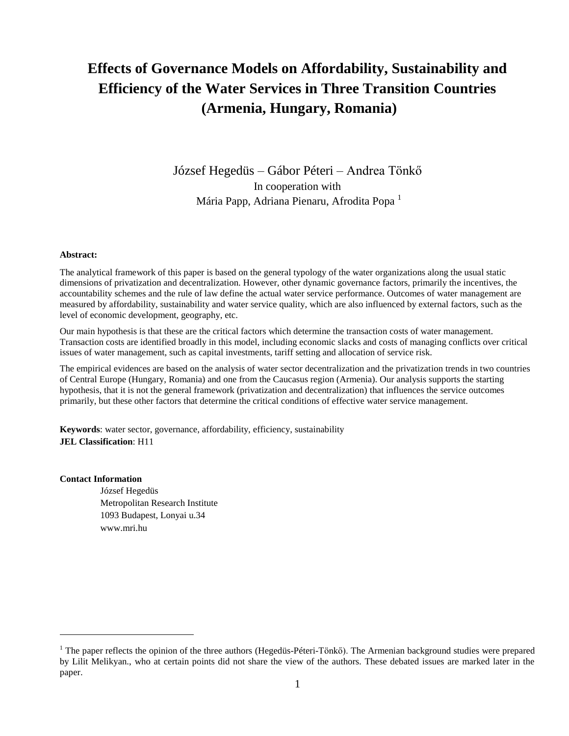# **Effects of Governance Models on Affordability, Sustainability and Efficiency of the Water Services in Three Transition Countries (Armenia, Hungary, Romania)**

József Hegedüs – Gábor Péteri – Andrea Tönkő In cooperation with Mária Papp, Adriana Pienaru, Afrodita Popa<sup>1</sup>

#### **Abstract:**

The analytical framework of this paper is based on the general typology of the water organizations along the usual static dimensions of privatization and decentralization. However, other dynamic governance factors, primarily the incentives, the accountability schemes and the rule of law define the actual water service performance. Outcomes of water management are measured by affordability, sustainability and water service quality, which are also influenced by external factors, such as the level of economic development, geography, etc.

Our main hypothesis is that these are the critical factors which determine the transaction costs of water management. Transaction costs are identified broadly in this model, including economic slacks and costs of managing conflicts over critical issues of water management, such as capital investments, tariff setting and allocation of service risk.

The empirical evidences are based on the analysis of water sector decentralization and the privatization trends in two countries of Central Europe (Hungary, Romania) and one from the Caucasus region (Armenia). Our analysis supports the starting hypothesis, that it is not the general framework (privatization and decentralization) that influences the service outcomes primarily, but these other factors that determine the critical conditions of effective water service management.

**Keywords**: water sector, governance, affordability, efficiency, sustainability **JEL Classification**: H11

#### **Contact Information**

 $\overline{a}$ 

József Hegedüs Metropolitan Research Institute 1093 Budapest, Lonyai u.34 www.mri.hu

<sup>&</sup>lt;sup>1</sup> The paper reflects the opinion of the three authors (Hegedüs-Péteri-Tönkő). The Armenian background studies were prepared by Lilit Melikyan., who at certain points did not share the view of the authors. These debated issues are marked later in the paper.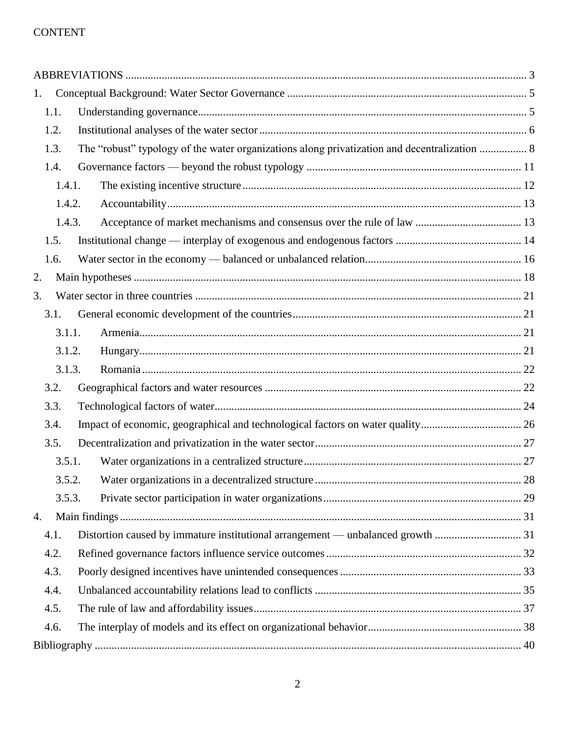### CONTENT

| 1.   |                                                                                              |  |  |  |
|------|----------------------------------------------------------------------------------------------|--|--|--|
| 1.1. |                                                                                              |  |  |  |
| 1.2. |                                                                                              |  |  |  |
| 1.3. | The "robust" typology of the water organizations along privatization and decentralization  8 |  |  |  |
| 1.4. |                                                                                              |  |  |  |
|      | 1.4.1.                                                                                       |  |  |  |
|      | 1.4.2.                                                                                       |  |  |  |
|      | 1.4.3.                                                                                       |  |  |  |
| 1.5. |                                                                                              |  |  |  |
| 1.6. |                                                                                              |  |  |  |
| 2.   |                                                                                              |  |  |  |
| 3.   |                                                                                              |  |  |  |
| 3.1. |                                                                                              |  |  |  |
|      | 3.1.1.                                                                                       |  |  |  |
|      | 3.1.2.                                                                                       |  |  |  |
|      | 3.1.3.                                                                                       |  |  |  |
| 3.2. |                                                                                              |  |  |  |
| 3.3. |                                                                                              |  |  |  |
| 3.4. | Impact of economic, geographical and technological factors on water quality 26               |  |  |  |
| 3.5. |                                                                                              |  |  |  |
|      | 3.5.1.                                                                                       |  |  |  |
|      | 3.5.2.                                                                                       |  |  |  |
|      | 3.5.3.                                                                                       |  |  |  |
| 4.   |                                                                                              |  |  |  |
| 4.1. | Distortion caused by immature institutional arrangement — unbalanced growth  31              |  |  |  |
| 4.2. |                                                                                              |  |  |  |
| 4.3. |                                                                                              |  |  |  |
| 4.4. |                                                                                              |  |  |  |
| 4.5. |                                                                                              |  |  |  |
| 4.6. |                                                                                              |  |  |  |
|      |                                                                                              |  |  |  |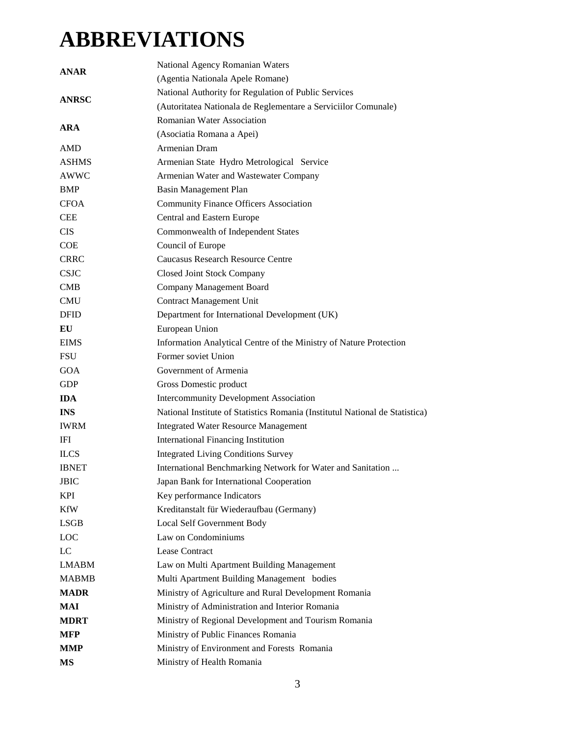# <span id="page-4-0"></span>**ABBREVIATIONS**

| <b>ANAR</b>  | National Agency Romanian Waters                                              |  |  |
|--------------|------------------------------------------------------------------------------|--|--|
|              | (Agentia Nationala Apele Romane)                                             |  |  |
|              | National Authority for Regulation of Public Services                         |  |  |
| <b>ANRSC</b> | (Autoritatea Nationala de Reglementare a Serviciilor Comunale)               |  |  |
|              | Romanian Water Association                                                   |  |  |
| <b>ARA</b>   | (Asociatia Romana a Apei)                                                    |  |  |
| <b>AMD</b>   | Armenian Dram                                                                |  |  |
| <b>ASHMS</b> | Armenian State Hydro Metrological Service                                    |  |  |
| <b>AWWC</b>  | Armenian Water and Wastewater Company                                        |  |  |
| BMP          | Basin Management Plan                                                        |  |  |
| <b>CFOA</b>  | <b>Community Finance Officers Association</b>                                |  |  |
| <b>CEE</b>   | Central and Eastern Europe                                                   |  |  |
| <b>CIS</b>   | Commonwealth of Independent States                                           |  |  |
| <b>COE</b>   | Council of Europe                                                            |  |  |
| <b>CRRC</b>  | <b>Caucasus Research Resource Centre</b>                                     |  |  |
| <b>CSJC</b>  | <b>Closed Joint Stock Company</b>                                            |  |  |
| CMB          | Company Management Board                                                     |  |  |
| <b>CMU</b>   | <b>Contract Management Unit</b>                                              |  |  |
| <b>DFID</b>  | Department for International Development (UK)                                |  |  |
| EU           | European Union                                                               |  |  |
| <b>EIMS</b>  | Information Analytical Centre of the Ministry of Nature Protection           |  |  |
| <b>FSU</b>   | Former soviet Union                                                          |  |  |
| <b>GOA</b>   | Government of Armenia                                                        |  |  |
| <b>GDP</b>   | Gross Domestic product                                                       |  |  |
| <b>IDA</b>   | <b>Intercommunity Development Association</b>                                |  |  |
| <b>INS</b>   | National Institute of Statistics Romania (Institutul National de Statistica) |  |  |
| <b>IWRM</b>  | <b>Integrated Water Resource Management</b>                                  |  |  |
| IFI          | <b>International Financing Institution</b>                                   |  |  |
| <b>ILCS</b>  | <b>Integrated Living Conditions Survey</b>                                   |  |  |
| <b>IBNET</b> | International Benchmarking Network for Water and Sanitation                  |  |  |
| JBIC         | Japan Bank for International Cooperation                                     |  |  |
| <b>KPI</b>   | Key performance Indicators                                                   |  |  |
| <b>KfW</b>   | Kreditanstalt für Wiederaufbau (Germany)                                     |  |  |
| <b>LSGB</b>  | Local Self Government Body                                                   |  |  |
| LOC          | Law on Condominiums                                                          |  |  |
| LC           | Lease Contract                                                               |  |  |
| <b>LMABM</b> | Law on Multi Apartment Building Management                                   |  |  |
| <b>MABMB</b> | Multi Apartment Building Management bodies                                   |  |  |
| <b>MADR</b>  | Ministry of Agriculture and Rural Development Romania                        |  |  |
| MAI          | Ministry of Administration and Interior Romania                              |  |  |
| <b>MDRT</b>  | Ministry of Regional Development and Tourism Romania                         |  |  |
| MFP          | Ministry of Public Finances Romania                                          |  |  |
| <b>MMP</b>   | Ministry of Environment and Forests Romania                                  |  |  |
| MS           | Ministry of Health Romania                                                   |  |  |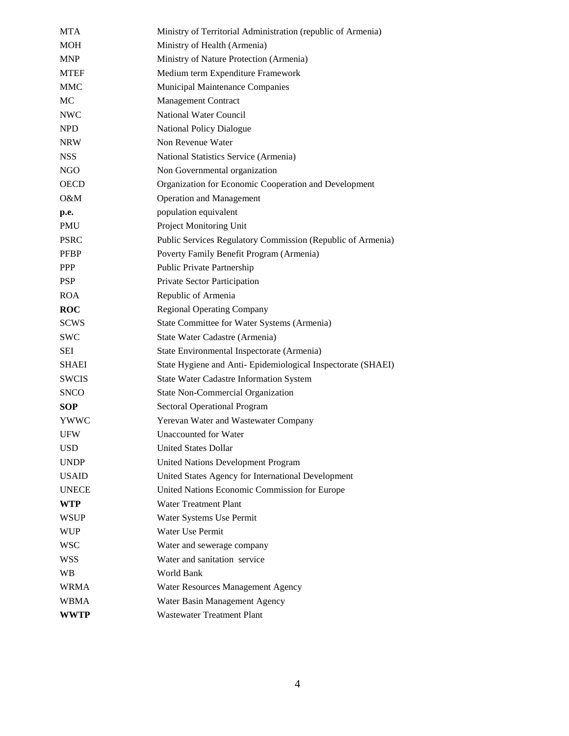| MTA          | Ministry of Territorial Administration (republic of Armenia) |
|--------------|--------------------------------------------------------------|
| <b>MOH</b>   | Ministry of Health (Armenia)                                 |
| <b>MNP</b>   | Ministry of Nature Protection (Armenia)                      |
| <b>MTEF</b>  | Medium term Expenditure Framework                            |
| <b>MMC</b>   | Municipal Maintenance Companies                              |
| MC           | <b>Management Contract</b>                                   |
| <b>NWC</b>   | <b>National Water Council</b>                                |
| <b>NPD</b>   | <b>National Policy Dialogue</b>                              |
| <b>NRW</b>   | Non Revenue Water                                            |
| <b>NSS</b>   | National Statistics Service (Armenia)                        |
| NGO          | Non Governmental organization                                |
| <b>OECD</b>  | Organization for Economic Cooperation and Development        |
| O&M          | <b>Operation and Management</b>                              |
| p.e.         | population equivalent                                        |
| <b>PMU</b>   | <b>Project Monitoring Unit</b>                               |
| <b>PSRC</b>  | Public Services Regulatory Commission (Republic of Armenia)  |
| <b>PFBP</b>  | Poverty Family Benefit Program (Armenia)                     |
| <b>PPP</b>   | Public Private Partnership                                   |
| <b>PSP</b>   | Private Sector Participation                                 |
| <b>ROA</b>   | Republic of Armenia                                          |
| <b>ROC</b>   | <b>Regional Operating Company</b>                            |
| <b>SCWS</b>  | State Committee for Water Systems (Armenia)                  |
| <b>SWC</b>   | State Water Cadastre (Armenia)                               |
| SEI          | State Environmental Inspectorate (Armenia)                   |
| <b>SHAEI</b> | State Hygiene and Anti-Epidemiological Inspectorate (SHAEI)  |
| <b>SWCIS</b> | <b>State Water Cadastre Information System</b>               |
| <b>SNCO</b>  | <b>State Non-Commercial Organization</b>                     |
| SOP          | <b>Sectoral Operational Program</b>                          |
| YWWC         | Yerevan Water and Wastewater Company                         |
| <b>UFW</b>   | <b>Unaccounted for Water</b>                                 |
| <b>USD</b>   | <b>United States Dollar</b>                                  |
| <b>UNDP</b>  | <b>United Nations Development Program</b>                    |
| <b>USAID</b> | United States Agency for International Development           |
| <b>UNECE</b> | United Nations Economic Commission for Europe                |
| WTP          | <b>Water Treatment Plant</b>                                 |
| <b>WSUP</b>  | Water Systems Use Permit                                     |
| <b>WUP</b>   | Water Use Permit                                             |
| <b>WSC</b>   | Water and sewerage company                                   |
| <b>WSS</b>   | Water and sanitation service                                 |
| WB.          | World Bank                                                   |
| <b>WRMA</b>  | Water Resources Management Agency                            |
| <b>WBMA</b>  | Water Basin Management Agency                                |
| <b>WWTP</b>  | <b>Wastewater Treatment Plant</b>                            |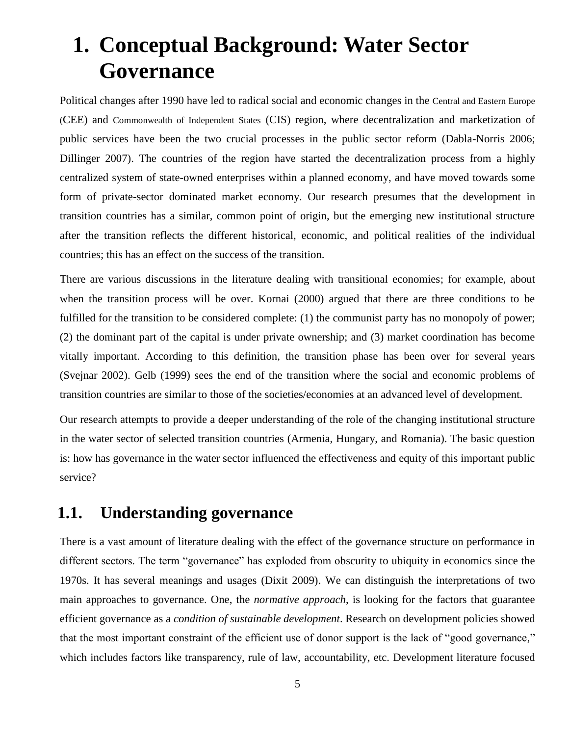# <span id="page-6-0"></span>**1. Conceptual Background: Water Sector Governance**

Political changes after 1990 have led to radical social and economic changes in the Central and Eastern Europe (CEE) and Commonwealth of Independent States (CIS) region, where decentralization and marketization of public services have been the two crucial processes in the public sector reform (Dabla-Norris 2006; Dillinger 2007). The countries of the region have started the decentralization process from a highly centralized system of state-owned enterprises within a planned economy, and have moved towards some form of private-sector dominated market economy. Our research presumes that the development in transition countries has a similar, common point of origin, but the emerging new institutional structure after the transition reflects the different historical, economic, and political realities of the individual countries; this has an effect on the success of the transition.

There are various discussions in the literature dealing with transitional economies; for example, about when the transition process will be over. Kornai (2000) argued that there are three conditions to be fulfilled for the transition to be considered complete: (1) the communist party has no monopoly of power; (2) the dominant part of the capital is under private ownership; and (3) market coordination has become vitally important. According to this definition, the transition phase has been over for several years (Svejnar 2002). Gelb (1999) sees the end of the transition where the social and economic problems of transition countries are similar to those of the societies/economies at an advanced level of development.

Our research attempts to provide a deeper understanding of the role of the changing institutional structure in the water sector of selected transition countries (Armenia, Hungary, and Romania). The basic question is: how has governance in the water sector influenced the effectiveness and equity of this important public service?

## <span id="page-6-1"></span>**1.1. Understanding governance**

There is a vast amount of literature dealing with the effect of the governance structure on performance in different sectors. The term "governance" has exploded from obscurity to ubiquity in economics since the 1970s. It has several meanings and usages (Dixit 2009). We can distinguish the interpretations of two main approaches to governance. One, the *normative approach*, is looking for the factors that guarantee efficient governance as a *condition of sustainable development*. Research on development policies showed that the most important constraint of the efficient use of donor support is the lack of "good governance," which includes factors like transparency, rule of law, accountability, etc. Development literature focused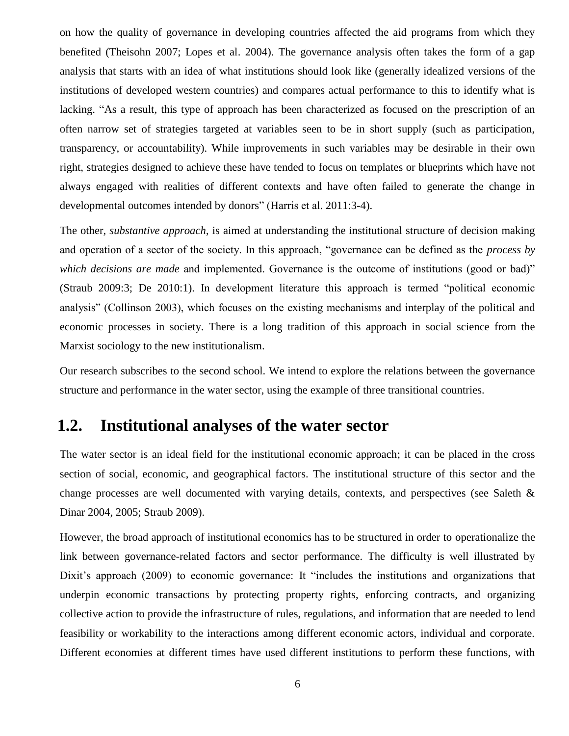on how the quality of governance in developing countries affected the aid programs from which they benefited (Theisohn 2007; Lopes et al. 2004). The governance analysis often takes the form of a gap analysis that starts with an idea of what institutions should look like (generally idealized versions of the institutions of developed western countries) and compares actual performance to this to identify what is lacking. "As a result, this type of approach has been characterized as focused on the prescription of an often narrow set of strategies targeted at variables seen to be in short supply (such as participation, transparency, or accountability). While improvements in such variables may be desirable in their own right, strategies designed to achieve these have tended to focus on templates or blueprints which have not always engaged with realities of different contexts and have often failed to generate the change in developmental outcomes intended by donors" (Harris et al. 2011:3-4).

The other, *substantive approach*, is aimed at understanding the institutional structure of decision making and operation of a sector of the society. In this approach, "governance can be defined as the *process by which decisions are made* and implemented. Governance is the outcome of institutions (good or bad)" (Straub 2009:3; De 2010:1). In development literature this approach is termed "political economic analysis" (Collinson 2003), which focuses on the existing mechanisms and interplay of the political and economic processes in society. There is a long tradition of this approach in social science from the Marxist sociology to the new institutionalism.

Our research subscribes to the second school. We intend to explore the relations between the governance structure and performance in the water sector, using the example of three transitional countries.

### <span id="page-7-0"></span>**1.2. Institutional analyses of the water sector**

The water sector is an ideal field for the institutional economic approach; it can be placed in the cross section of social, economic, and geographical factors. The institutional structure of this sector and the change processes are well documented with varying details, contexts, and perspectives (see Saleth & Dinar 2004, 2005; Straub 2009).

However, the broad approach of institutional economics has to be structured in order to operationalize the link between governance-related factors and sector performance. The difficulty is well illustrated by Dixit's approach (2009) to economic governance: It "includes the institutions and organizations that underpin economic transactions by protecting property rights, enforcing contracts, and organizing collective action to provide the infrastructure of rules, regulations, and information that are needed to lend feasibility or workability to the interactions among different economic actors, individual and corporate. Different economies at different times have used different institutions to perform these functions, with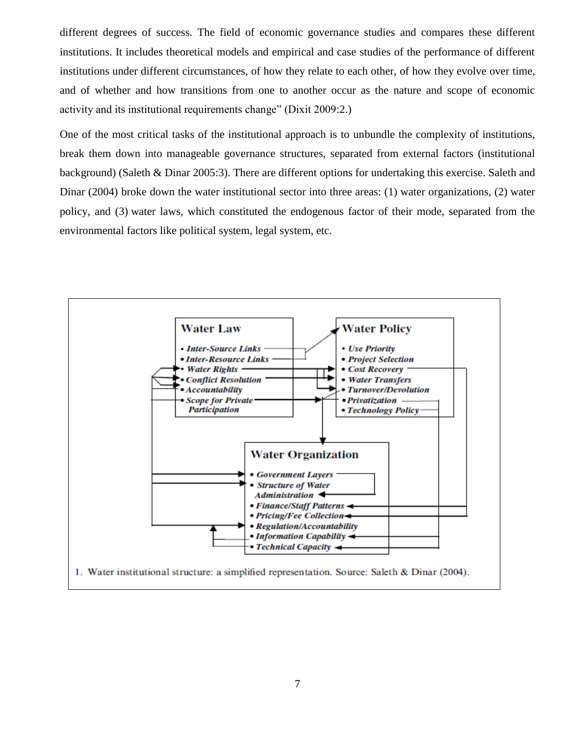different degrees of success. The field of economic governance studies and compares these different institutions. It includes theoretical models and empirical and case studies of the performance of different institutions under different circumstances, of how they relate to each other, of how they evolve over time, and of whether and how transitions from one to another occur as the nature and scope of economic activity and its institutional requirements change" (Dixit 2009:2.)

One of the most critical tasks of the institutional approach is to unbundle the complexity of institutions, break them down into manageable governance structures, separated from external factors (institutional background) (Saleth & Dinar 2005:3). There are different options for undertaking this exercise. Saleth and Dinar (2004) broke down the water institutional sector into three areas: (1) water organizations, (2) water policy, and (3) water laws, which constituted the endogenous factor of their mode, separated from the environmental factors like political system, legal system, etc.

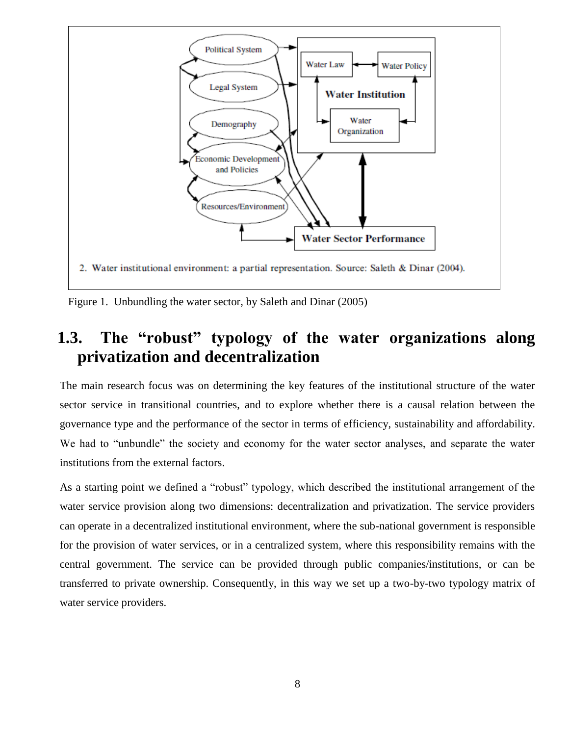

Figure 1. Unbundling the water sector, by Saleth and Dinar (2005)

# <span id="page-9-0"></span>**1.3. The "robust" typology of the water organizations along privatization and decentralization**

The main research focus was on determining the key features of the institutional structure of the water sector service in transitional countries, and to explore whether there is a causal relation between the governance type and the performance of the sector in terms of efficiency, sustainability and affordability. We had to "unbundle" the society and economy for the water sector analyses, and separate the water institutions from the external factors.

As a starting point we defined a "robust" typology, which described the institutional arrangement of the water service provision along two dimensions: decentralization and privatization. The service providers can operate in a decentralized institutional environment, where the sub-national government is responsible for the provision of water services, or in a centralized system, where this responsibility remains with the central government. The service can be provided through public companies/institutions, or can be transferred to private ownership. Consequently, in this way we set up a two-by-two typology matrix of water service providers.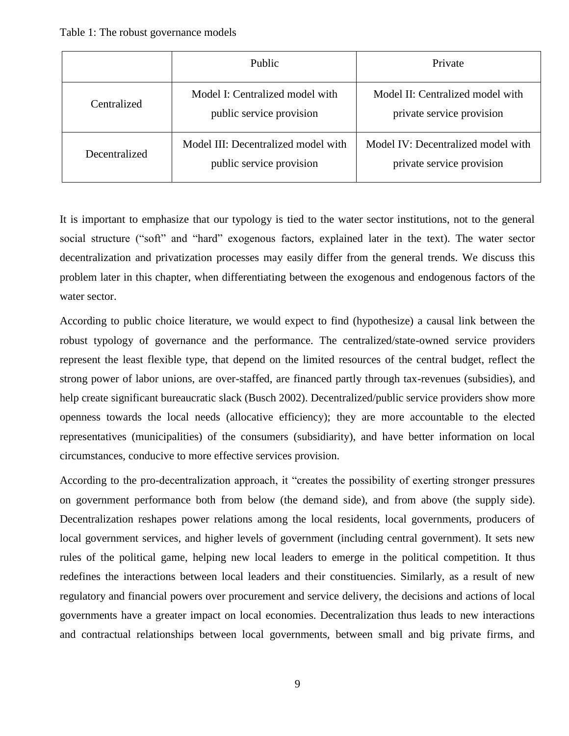<span id="page-10-0"></span>

|               | <b>Public</b>                                                   | Private                                                         |
|---------------|-----------------------------------------------------------------|-----------------------------------------------------------------|
| Centralized   | Model I: Centralized model with<br>public service provision     | Model II: Centralized model with<br>private service provision   |
| Decentralized | Model III: Decentralized model with<br>public service provision | Model IV: Decentralized model with<br>private service provision |

It is important to emphasize that our typology is tied to the water sector institutions, not to the general social structure ("soft" and "hard" exogenous factors, explained later in the text). The water sector decentralization and privatization processes may easily differ from the general trends. We discuss this problem later in this chapter, when differentiating between the exogenous and endogenous factors of the water sector.

According to public choice literature, we would expect to find (hypothesize) a causal link between the robust typology of governance and the performance. The centralized/state-owned service providers represent the least flexible type, that depend on the limited resources of the central budget, reflect the strong power of labor unions, are over-staffed, are financed partly through tax-revenues (subsidies), and help create significant bureaucratic slack (Busch 2002). Decentralized/public service providers show more openness towards the local needs (allocative efficiency); they are more accountable to the elected representatives (municipalities) of the consumers (subsidiarity), and have better information on local circumstances, conducive to more effective services provision.

According to the pro-decentralization approach, it "creates the possibility of exerting stronger pressures on government performance both from below (the demand side), and from above (the supply side). Decentralization reshapes power relations among the local residents, local governments, producers of local government services, and higher levels of government (including central government). It sets new rules of the political game, helping new local leaders to emerge in the political competition. It thus redefines the interactions between local leaders and their constituencies. Similarly, as a result of new regulatory and financial powers over procurement and service delivery, the decisions and actions of local governments have a greater impact on local economies. Decentralization thus leads to new interactions and contractual relationships between local governments, between small and big private firms, and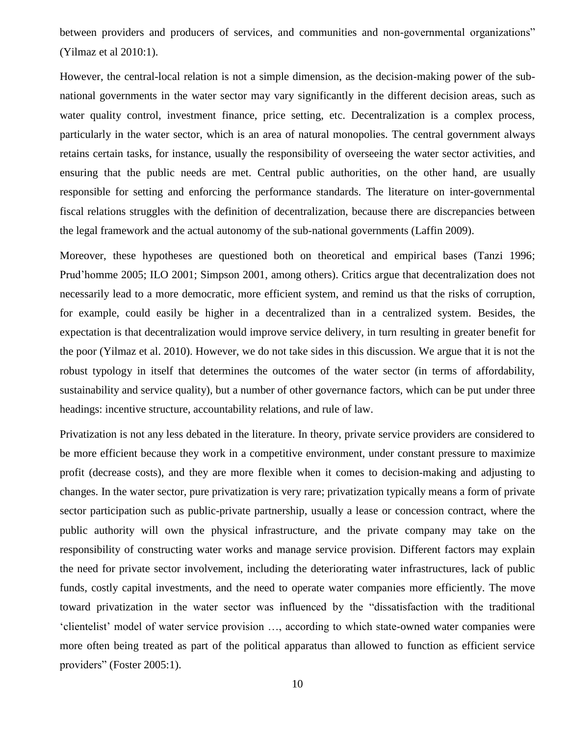between providers and producers of services, and communities and non-governmental organizations" (Yilmaz et al 2010:1).

However, the central-local relation is not a simple dimension, as the decision-making power of the subnational governments in the water sector may vary significantly in the different decision areas, such as water quality control, investment finance, price setting, etc. Decentralization is a complex process, particularly in the water sector, which is an area of natural monopolies. The central government always retains certain tasks, for instance, usually the responsibility of overseeing the water sector activities, and ensuring that the public needs are met. Central public authorities, on the other hand, are usually responsible for setting and enforcing the performance standards. The literature on inter-governmental fiscal relations struggles with the definition of decentralization, because there are discrepancies between the legal framework and the actual autonomy of the sub-national governments (Laffin 2009).

Moreover, these hypotheses are questioned both on theoretical and empirical bases (Tanzi 1996; Prud'homme 2005; ILO 2001; Simpson 2001, among others). Critics argue that decentralization does not necessarily lead to a more democratic, more efficient system, and remind us that the risks of corruption, for example, could easily be higher in a decentralized than in a centralized system. Besides, the expectation is that decentralization would improve service delivery, in turn resulting in greater benefit for the poor (Yilmaz et al. 2010). However, we do not take sides in this discussion. We argue that it is not the robust typology in itself that determines the outcomes of the water sector (in terms of affordability, sustainability and service quality), but a number of other governance factors, which can be put under three headings: incentive structure, accountability relations, and rule of law.

Privatization is not any less debated in the literature. In theory, private service providers are considered to be more efficient because they work in a competitive environment, under constant pressure to maximize profit (decrease costs), and they are more flexible when it comes to decision-making and adjusting to changes. In the water sector, pure privatization is very rare; privatization typically means a form of private sector participation such as public-private partnership, usually a lease or concession contract, where the public authority will own the physical infrastructure, and the private company may take on the responsibility of constructing water works and manage service provision. Different factors may explain the need for private sector involvement, including the deteriorating water infrastructures, lack of public funds, costly capital investments, and the need to operate water companies more efficiently. The move toward privatization in the water sector was influenced by the "dissatisfaction with the traditional 'clientelist' model of water service provision …, according to which state-owned water companies were more often being treated as part of the political apparatus than allowed to function as efficient service providers" (Foster 2005:1).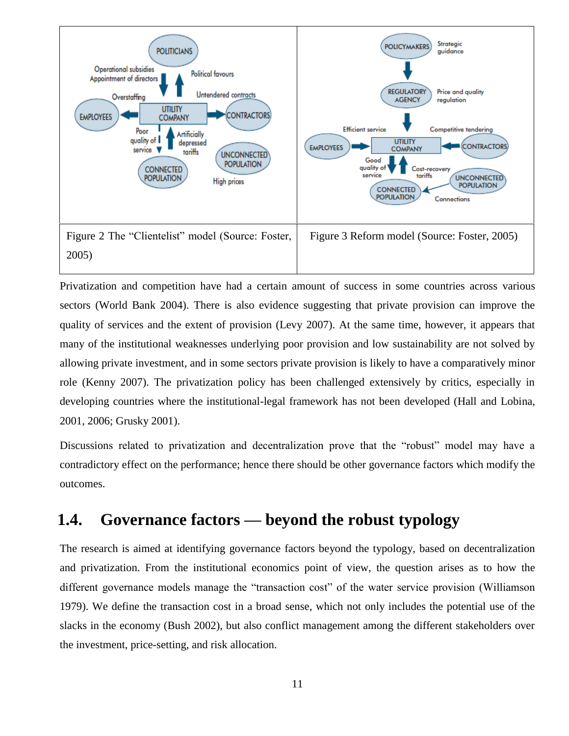

Privatization and competition have had a certain amount of success in some countries across various sectors (World Bank 2004). There is also evidence suggesting that private provision can improve the quality of services and the extent of provision (Levy 2007). At the same time, however, it appears that many of the institutional weaknesses underlying poor provision and low sustainability are not solved by allowing private investment, and in some sectors private provision is likely to have a comparatively minor role (Kenny 2007). The privatization policy has been challenged extensively by critics, especially in developing countries where the institutional-legal framework has not been developed (Hall and Lobina, 2001, 2006; Grusky 2001).

Discussions related to privatization and decentralization prove that the "robust" model may have a contradictory effect on the performance; hence there should be other governance factors which modify the outcomes.

## <span id="page-12-0"></span>**1.4. Governance factors — beyond the robust typology**

The research is aimed at identifying governance factors beyond the typology, based on decentralization and privatization. From the institutional economics point of view, the question arises as to how the different governance models manage the "transaction cost" of the water service provision (Williamson 1979). We define the transaction cost in a broad sense, which not only includes the potential use of the slacks in the economy (Bush 2002), but also conflict management among the different stakeholders over the investment, price-setting, and risk allocation.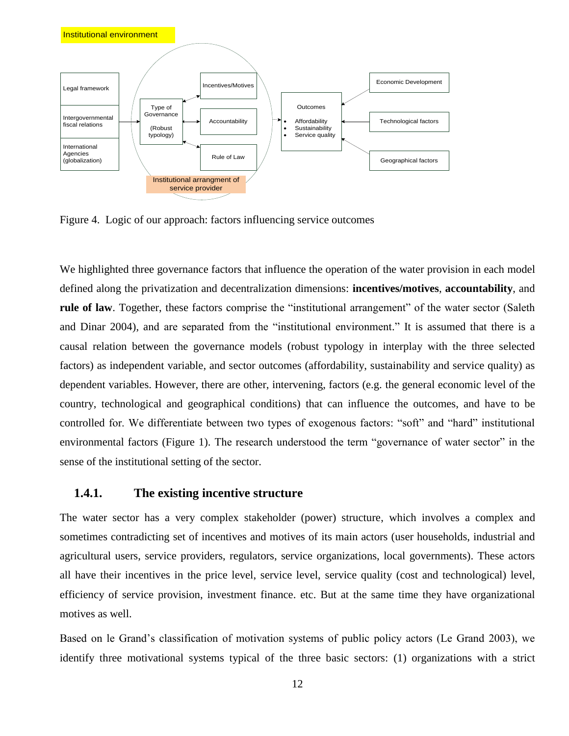

Figure 4. Logic of our approach: factors influencing service outcomes

We highlighted three governance factors that influence the operation of the water provision in each model defined along the privatization and decentralization dimensions: **incentives/motives**, **accountability**, and **rule of law**. Together, these factors comprise the "institutional arrangement" of the water sector (Saleth) and Dinar 2004), and are separated from the "institutional environment." It is assumed that there is a causal relation between the governance models (robust typology in interplay with the three selected factors) as independent variable, and sector outcomes (affordability, sustainability and service quality) as dependent variables. However, there are other, intervening, factors (e.g. the general economic level of the country, technological and geographical conditions) that can influence the outcomes, and have to be controlled for. We differentiate between two types of exogenous factors: "soft" and "hard" institutional environmental factors (Figure 1). The research understood the term "governance of water sector" in the sense of the institutional setting of the sector.

#### <span id="page-13-0"></span>**1.4.1. The existing incentive structure**

The water sector has a very complex stakeholder (power) structure, which involves a complex and sometimes contradicting set of incentives and motives of its main actors (user households, industrial and agricultural users, service providers, regulators, service organizations, local governments). These actors all have their incentives in the price level, service level, service quality (cost and technological) level, efficiency of service provision, investment finance. etc. But at the same time they have organizational motives as well.

Based on le Grand's classification of motivation systems of public policy actors (Le Grand 2003), we identify three motivational systems typical of the three basic sectors: (1) organizations with a strict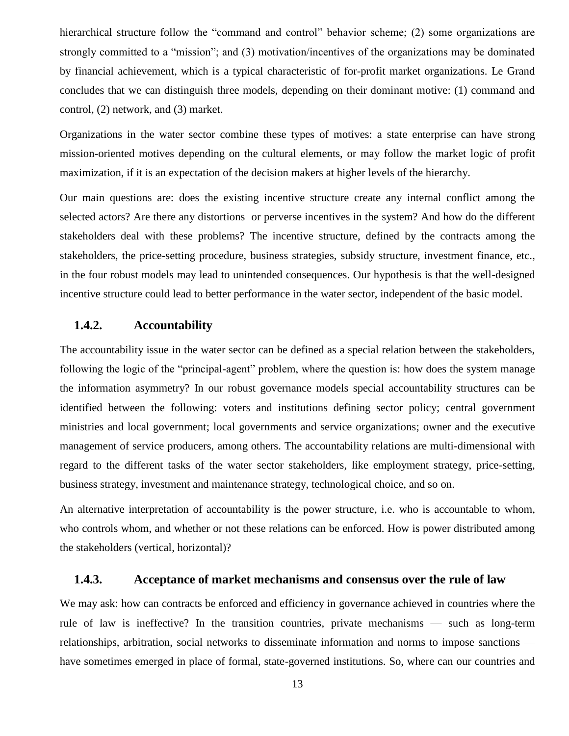hierarchical structure follow the "command and control" behavior scheme; (2) some organizations are strongly committed to a "mission"; and (3) motivation/incentives of the organizations may be dominated by financial achievement, which is a typical characteristic of for-profit market organizations. Le Grand concludes that we can distinguish three models, depending on their dominant motive: (1) command and control, (2) network, and (3) market.

Organizations in the water sector combine these types of motives: a state enterprise can have strong mission-oriented motives depending on the cultural elements, or may follow the market logic of profit maximization, if it is an expectation of the decision makers at higher levels of the hierarchy.

Our main questions are: does the existing incentive structure create any internal conflict among the selected actors? Are there any distortions or perverse incentives in the system? And how do the different stakeholders deal with these problems? The incentive structure, defined by the contracts among the stakeholders, the price-setting procedure, business strategies, subsidy structure, investment finance, etc., in the four robust models may lead to unintended consequences. Our hypothesis is that the well-designed incentive structure could lead to better performance in the water sector, independent of the basic model.

#### <span id="page-14-0"></span>**1.4.2. Accountability**

The accountability issue in the water sector can be defined as a special relation between the stakeholders, following the logic of the "principal-agent" problem, where the question is: how does the system manage the information asymmetry? In our robust governance models special accountability structures can be identified between the following: voters and institutions defining sector policy; central government ministries and local government; local governments and service organizations; owner and the executive management of service producers, among others. The accountability relations are multi-dimensional with regard to the different tasks of the water sector stakeholders, like employment strategy, price-setting, business strategy, investment and maintenance strategy, technological choice, and so on.

An alternative interpretation of accountability is the power structure, i.e. who is accountable to whom, who controls whom, and whether or not these relations can be enforced. How is power distributed among the stakeholders (vertical, horizontal)?

#### **1.4.3. Acceptance of market mechanisms and consensus over the rule of law**

<span id="page-14-1"></span>We may ask: how can contracts be enforced and efficiency in governance achieved in countries where the rule of law is ineffective? In the transition countries, private mechanisms — such as long-term relationships, arbitration, social networks to disseminate information and norms to impose sanctions have sometimes emerged in place of formal, state-governed institutions. So, where can our countries and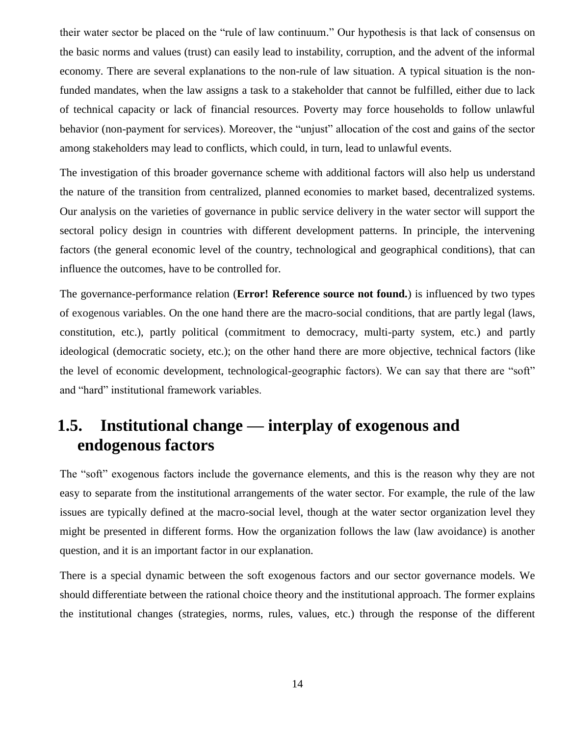their water sector be placed on the "rule of law continuum." Our hypothesis is that lack of consensus on the basic norms and values (trust) can easily lead to instability, corruption, and the advent of the informal economy. There are several explanations to the non-rule of law situation. A typical situation is the nonfunded mandates, when the law assigns a task to a stakeholder that cannot be fulfilled, either due to lack of technical capacity or lack of financial resources. Poverty may force households to follow unlawful behavior (non-payment for services). Moreover, the "unjust" allocation of the cost and gains of the sector among stakeholders may lead to conflicts, which could, in turn, lead to unlawful events.

The investigation of this broader governance scheme with additional factors will also help us understand the nature of the transition from centralized, planned economies to market based, decentralized systems. Our analysis on the varieties of governance in public service delivery in the water sector will support the sectoral policy design in countries with different development patterns. In principle, the intervening factors (the general economic level of the country, technological and geographical conditions), that can influence the outcomes, have to be controlled for.

The governance-performance relation (**Error! Reference source not found.**) is influenced by two types of exogenous variables. On the one hand there are the macro-social conditions, that are partly legal (laws, constitution, etc.), partly political (commitment to democracy, multi-party system, etc.) and partly ideological (democratic society, etc.); on the other hand there are more objective, technical factors (like the level of economic development, technological-geographic factors). We can say that there are "soft" and "hard" institutional framework variables.

# <span id="page-15-0"></span>**1.5. Institutional change — interplay of exogenous and endogenous factors**

The "soft" exogenous factors include the governance elements, and this is the reason why they are not easy to separate from the institutional arrangements of the water sector. For example, the rule of the law issues are typically defined at the macro-social level, though at the water sector organization level they might be presented in different forms. How the organization follows the law (law avoidance) is another question, and it is an important factor in our explanation.

There is a special dynamic between the soft exogenous factors and our sector governance models. We should differentiate between the rational choice theory and the institutional approach. The former explains the institutional changes (strategies, norms, rules, values, etc.) through the response of the different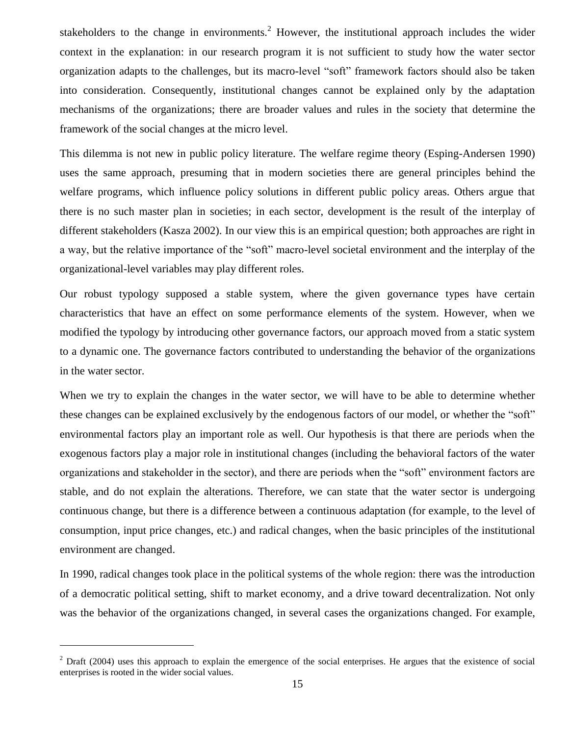stakeholders to the change in environments.<sup>2</sup> However, the institutional approach includes the wider context in the explanation: in our research program it is not sufficient to study how the water sector organization adapts to the challenges, but its macro-level "soft" framework factors should also be taken into consideration. Consequently, institutional changes cannot be explained only by the adaptation mechanisms of the organizations; there are broader values and rules in the society that determine the framework of the social changes at the micro level.

This dilemma is not new in public policy literature. The welfare regime theory (Esping-Andersen 1990) uses the same approach, presuming that in modern societies there are general principles behind the welfare programs, which influence policy solutions in different public policy areas. Others argue that there is no such master plan in societies; in each sector, development is the result of the interplay of different stakeholders (Kasza 2002). In our view this is an empirical question; both approaches are right in a way, but the relative importance of the "soft" macro-level societal environment and the interplay of the organizational-level variables may play different roles.

Our robust typology supposed a stable system, where the given governance types have certain characteristics that have an effect on some performance elements of the system. However, when we modified the typology by introducing other governance factors, our approach moved from a static system to a dynamic one. The governance factors contributed to understanding the behavior of the organizations in the water sector.

When we try to explain the changes in the water sector, we will have to be able to determine whether these changes can be explained exclusively by the endogenous factors of our model, or whether the "soft" environmental factors play an important role as well. Our hypothesis is that there are periods when the exogenous factors play a major role in institutional changes (including the behavioral factors of the water organizations and stakeholder in the sector), and there are periods when the "soft" environment factors are stable, and do not explain the alterations. Therefore, we can state that the water sector is undergoing continuous change, but there is a difference between a continuous adaptation (for example, to the level of consumption, input price changes, etc.) and radical changes, when the basic principles of the institutional environment are changed.

In 1990, radical changes took place in the political systems of the whole region: there was the introduction of a democratic political setting, shift to market economy, and a drive toward decentralization. Not only was the behavior of the organizations changed, in several cases the organizations changed. For example,

 $2$  Draft (2004) uses this approach to explain the emergence of the social enterprises. He argues that the existence of social enterprises is rooted in the wider social values.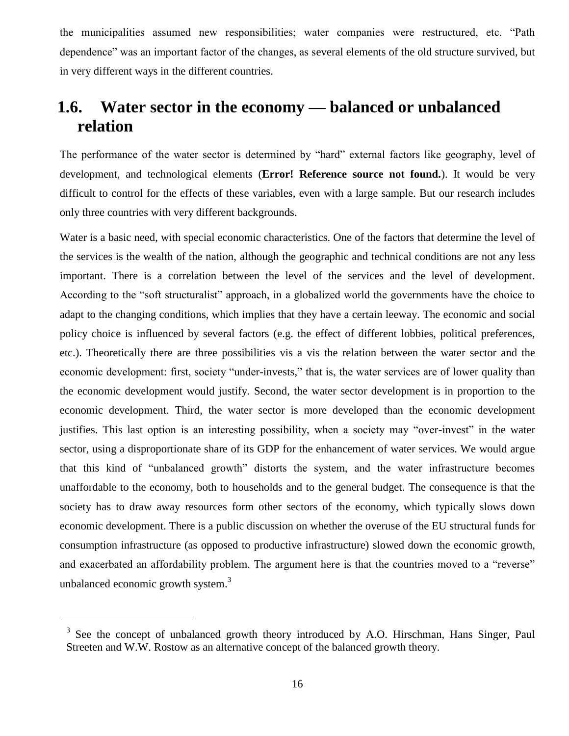the municipalities assumed new responsibilities; water companies were restructured, etc. "Path dependence" was an important factor of the changes, as several elements of the old structure survived, but in very different ways in the different countries.

# <span id="page-17-0"></span>**1.6. Water sector in the economy — balanced or unbalanced relation**

The performance of the water sector is determined by "hard" external factors like geography, level of development, and technological elements (**Error! Reference source not found.**). It would be very difficult to control for the effects of these variables, even with a large sample. But our research includes only three countries with very different backgrounds.

Water is a basic need, with special economic characteristics. One of the factors that determine the level of the services is the wealth of the nation, although the geographic and technical conditions are not any less important. There is a correlation between the level of the services and the level of development. According to the "soft structuralist" approach, in a globalized world the governments have the choice to adapt to the changing conditions, which implies that they have a certain leeway. The economic and social policy choice is influenced by several factors (e.g. the effect of different lobbies, political preferences, etc.). Theoretically there are three possibilities vis a vis the relation between the water sector and the economic development: first, society "under-invests," that is, the water services are of lower quality than the economic development would justify. Second, the water sector development is in proportion to the economic development. Third, the water sector is more developed than the economic development justifies. This last option is an interesting possibility, when a society may "over-invest" in the water sector, using a disproportionate share of its GDP for the enhancement of water services. We would argue that this kind of "unbalanced growth" distorts the system, and the water infrastructure becomes unaffordable to the economy, both to households and to the general budget. The consequence is that the society has to draw away resources form other sectors of the economy, which typically slows down economic development. There is a public discussion on whether the overuse of the EU structural funds for consumption infrastructure (as opposed to productive infrastructure) slowed down the economic growth, and exacerbated an affordability problem. The argument here is that the countries moved to a "reverse" unbalanced economic growth system.<sup>3</sup>

 $3$  See the concept of unbalanced growth theory introduced by A.O. Hirschman, Hans Singer, Paul Streeten and W.W. Rostow as an alternative concept of the balanced growth theory.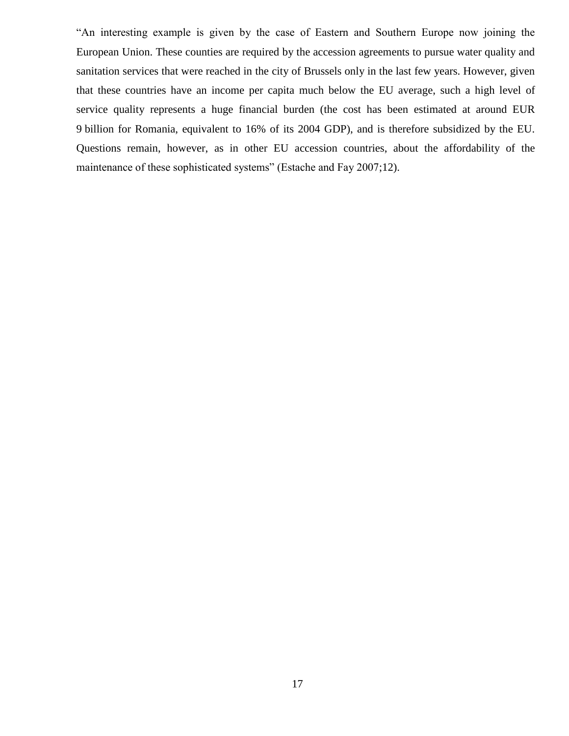"An interesting example is given by the case of Eastern and Southern Europe now joining the European Union. These counties are required by the accession agreements to pursue water quality and sanitation services that were reached in the city of Brussels only in the last few years. However, given that these countries have an income per capita much below the EU average, such a high level of service quality represents a huge financial burden (the cost has been estimated at around EUR 9 billion for Romania, equivalent to 16% of its 2004 GDP), and is therefore subsidized by the EU. Questions remain, however, as in other EU accession countries, about the affordability of the maintenance of these sophisticated systems" (Estache and Fay 2007;12).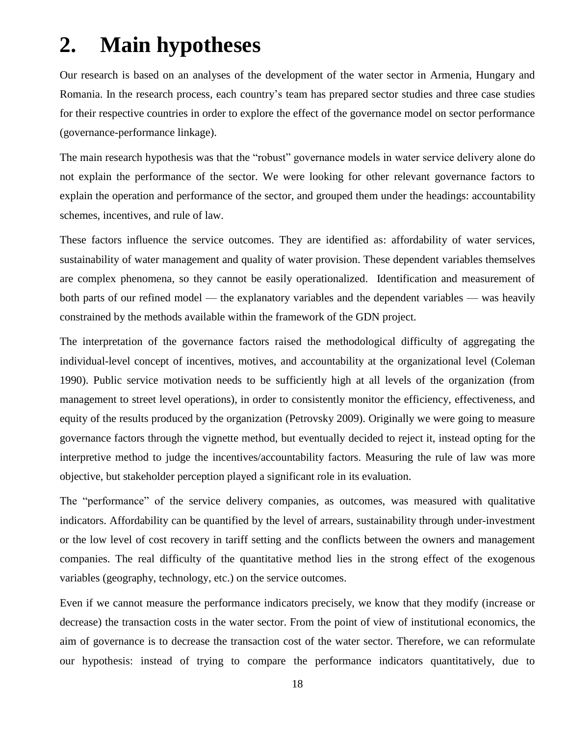# <span id="page-19-0"></span>**2. Main hypotheses**

Our research is based on an analyses of the development of the water sector in Armenia, Hungary and Romania. In the research process, each country's team has prepared sector studies and three case studies for their respective countries in order to explore the effect of the governance model on sector performance (governance-performance linkage).

The main research hypothesis was that the "robust" governance models in water service delivery alone do not explain the performance of the sector. We were looking for other relevant governance factors to explain the operation and performance of the sector, and grouped them under the headings: accountability schemes, incentives, and rule of law.

These factors influence the service outcomes. They are identified as: affordability of water services, sustainability of water management and quality of water provision. These dependent variables themselves are complex phenomena, so they cannot be easily operationalized. Identification and measurement of both parts of our refined model — the explanatory variables and the dependent variables — was heavily constrained by the methods available within the framework of the GDN project.

The interpretation of the governance factors raised the methodological difficulty of aggregating the individual-level concept of incentives, motives, and accountability at the organizational level (Coleman 1990). Public service motivation needs to be sufficiently high at all levels of the organization (from management to street level operations), in order to consistently monitor the efficiency, effectiveness, and equity of the results produced by the organization (Petrovsky 2009). Originally we were going to measure governance factors through the vignette method, but eventually decided to reject it, instead opting for the interpretive method to judge the incentives/accountability factors. Measuring the rule of law was more objective, but stakeholder perception played a significant role in its evaluation.

The "performance" of the service delivery companies, as outcomes, was measured with qualitative indicators. Affordability can be quantified by the level of arrears, sustainability through under-investment or the low level of cost recovery in tariff setting and the conflicts between the owners and management companies. The real difficulty of the quantitative method lies in the strong effect of the exogenous variables (geography, technology, etc.) on the service outcomes.

Even if we cannot measure the performance indicators precisely, we know that they modify (increase or decrease) the transaction costs in the water sector. From the point of view of institutional economics, the aim of governance is to decrease the transaction cost of the water sector. Therefore, we can reformulate our hypothesis: instead of trying to compare the performance indicators quantitatively, due to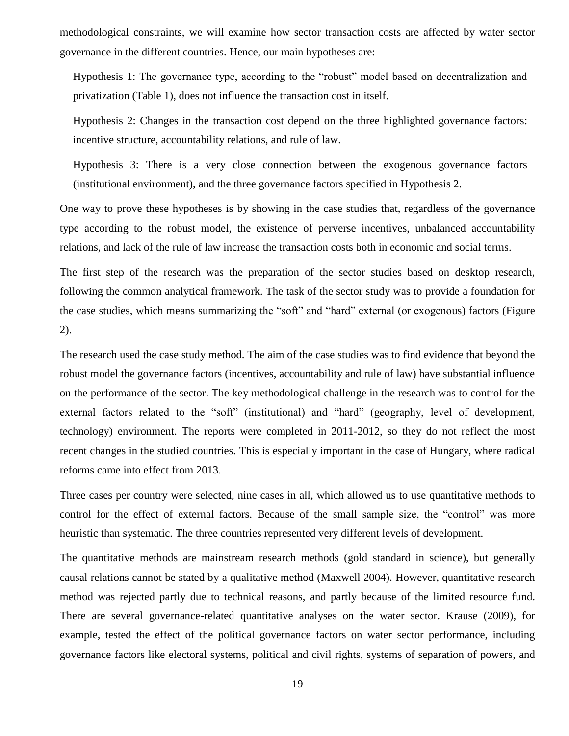methodological constraints, we will examine how sector transaction costs are affected by water sector governance in the different countries. Hence, our main hypotheses are:

Hypothesis 1: The governance type, according to the "robust" model based on decentralization and privatization (Table [1\)](#page-10-0), does not influence the transaction cost in itself.

Hypothesis 2: Changes in the transaction cost depend on the three highlighted governance factors: incentive structure, accountability relations, and rule of law.

Hypothesis 3: There is a very close connection between the exogenous governance factors (institutional environment), and the three governance factors specified in Hypothesis 2.

One way to prove these hypotheses is by showing in the case studies that, regardless of the governance type according to the robust model, the existence of perverse incentives, unbalanced accountability relations, and lack of the rule of law increase the transaction costs both in economic and social terms.

The first step of the research was the preparation of the sector studies based on desktop research, following the common analytical framework. The task of the sector study was to provide a foundation for the case studies, which means summarizing the "soft" and "hard" external (or exogenous) factors (Figure 2).

The research used the case study method. The aim of the case studies was to find evidence that beyond the robust model the governance factors (incentives, accountability and rule of law) have substantial influence on the performance of the sector. The key methodological challenge in the research was to control for the external factors related to the "soft" (institutional) and "hard" (geography, level of development, technology) environment. The reports were completed in 2011-2012, so they do not reflect the most recent changes in the studied countries. This is especially important in the case of Hungary, where radical reforms came into effect from 2013.

Three cases per country were selected, nine cases in all, which allowed us to use quantitative methods to control for the effect of external factors. Because of the small sample size, the "control" was more heuristic than systematic. The three countries represented very different levels of development.

The quantitative methods are mainstream research methods (gold standard in science), but generally causal relations cannot be stated by a qualitative method (Maxwell 2004). However, quantitative research method was rejected partly due to technical reasons, and partly because of the limited resource fund. There are several governance-related quantitative analyses on the water sector. Krause (2009), for example, tested the effect of the political governance factors on water sector performance, including governance factors like electoral systems, political and civil rights, systems of separation of powers, and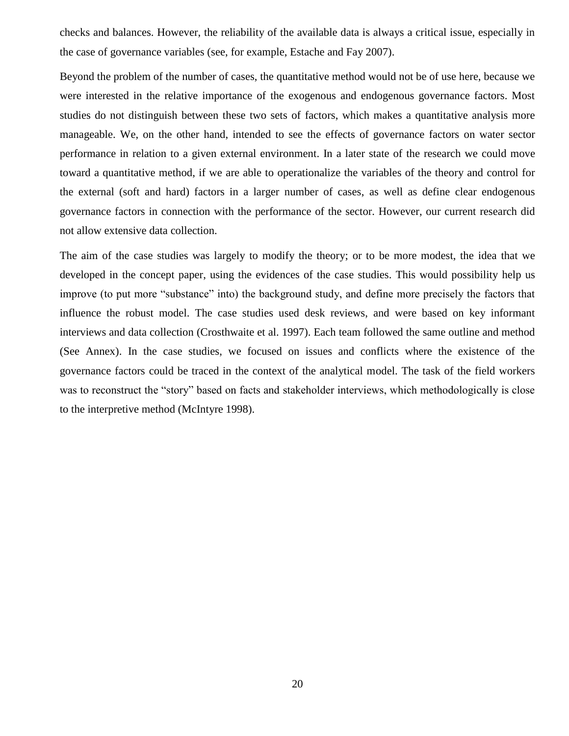checks and balances. However, the reliability of the available data is always a critical issue, especially in the case of governance variables (see, for example, Estache and Fay 2007).

Beyond the problem of the number of cases, the quantitative method would not be of use here, because we were interested in the relative importance of the exogenous and endogenous governance factors. Most studies do not distinguish between these two sets of factors, which makes a quantitative analysis more manageable. We, on the other hand, intended to see the effects of governance factors on water sector performance in relation to a given external environment. In a later state of the research we could move toward a quantitative method, if we are able to operationalize the variables of the theory and control for the external (soft and hard) factors in a larger number of cases, as well as define clear endogenous governance factors in connection with the performance of the sector. However, our current research did not allow extensive data collection.

The aim of the case studies was largely to modify the theory; or to be more modest, the idea that we developed in the concept paper, using the evidences of the case studies. This would possibility help us improve (to put more "substance" into) the background study, and define more precisely the factors that influence the robust model. The case studies used desk reviews, and were based on key informant interviews and data collection (Crosthwaite et al. 1997). Each team followed the same outline and method (See Annex). In the case studies, we focused on issues and conflicts where the existence of the governance factors could be traced in the context of the analytical model. The task of the field workers was to reconstruct the "story" based on facts and stakeholder interviews, which methodologically is close to the interpretive method (McIntyre 1998).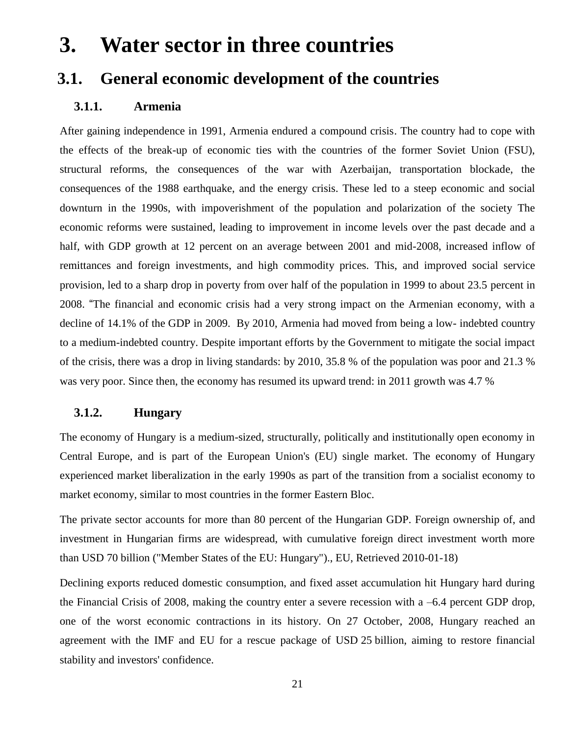# <span id="page-22-0"></span>**3. Water sector in three countries**

## <span id="page-22-2"></span><span id="page-22-1"></span>**3.1. General economic development of the countries**

#### **3.1.1. Armenia**

After gaining independence in 1991, Armenia endured a compound crisis. The country had to cope with the effects of the break-up of economic ties with the countries of the former Soviet Union (FSU), structural reforms, the consequences of the war with Azerbaijan, transportation blockade, the consequences of the 1988 earthquake, and the energy crisis. These led to a steep economic and social downturn in the 1990s, with impoverishment of the population and polarization of the society The economic reforms were sustained, leading to improvement in income levels over the past decade and a half, with GDP growth at 12 percent on an average between 2001 and mid-2008, increased inflow of remittances and foreign investments, and high commodity prices. This, and improved social service provision, led to a sharp drop in poverty from over half of the population in 1999 to about 23.5 percent in 2008. "The financial and economic crisis had a very strong impact on the Armenian economy, with a decline of 14.1% of the GDP in 2009. By 2010, Armenia had moved from being a low- indebted country to a medium-indebted country. Despite important efforts by the Government to mitigate the social impact of the crisis, there was a drop in living standards: by 2010, 35.8 % of the population was poor and 21.3 % was very poor. Since then, the economy has resumed its upward trend: in 2011 growth was 4.7 %

#### <span id="page-22-3"></span>**3.1.2. Hungary**

The economy of [Hungary](http://en.wikipedia.org/wiki/Hungary) is a medium-sized, structurally, politically and institutionally open economy in [Central Europe,](http://en.wikipedia.org/wiki/Central_Europe) and is part of the [European Union's](http://en.wikipedia.org/wiki/European_Union) (EU) [single market.](http://en.wikipedia.org/wiki/Single_market) The economy of Hungary experienced market liberalization in the early 1990s as part of the transition from a [socialist economy](http://en.wikipedia.org/wiki/Socialist_economy) to [market economy,](http://en.wikipedia.org/wiki/Market_economy) similar to most countries in the former [Eastern Bloc.](http://en.wikipedia.org/wiki/Eastern_Bloc)

The private sector accounts for more than 80 percent of the Hungarian GDP. Foreign ownership of, and investment in Hungarian firms are widespread, with cumulative foreign direct investment worth more than USD 70 billion [\("Member States of the EU: Hungary"\)](http://europa.eu/abc/european_countries/eu_members/hungary/index_en.htm)., EU, Retrieved 2010-01-18)

Declining exports reduced domestic consumption, and fixed asset accumulation hit Hungary hard during the [Financial Crisis of 2008,](http://en.wikipedia.org/wiki/Financial_Crisis_of_2008) making the country enter a severe recession with a –6.4 percent GDP drop, one of the worst economic contractions in its history. On 27 October, 2008, Hungary reached an agreement with the [IMF](http://en.wikipedia.org/wiki/IMF) and [EU](http://en.wikipedia.org/wiki/European_Union) for a rescue package of USD 25 billion, aiming to restore financial stability and investors' confidence.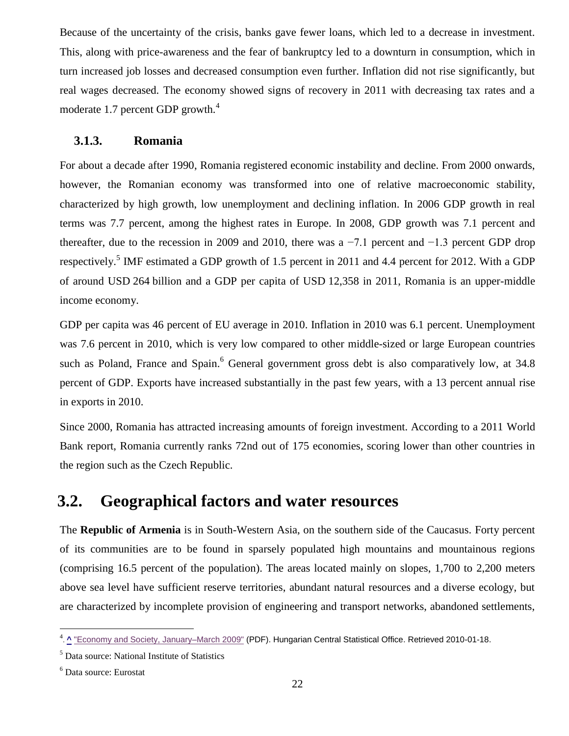Because of the uncertainty of the crisis, banks gave fewer loans, which led to a decrease in investment. This, along with price-awareness and the fear of bankruptcy led to a downturn in consumption, which in turn increased job losses and decreased consumption even further. Inflation did not rise significantly, but real wages decreased. The economy showed signs of recovery in 2011 with decreasing tax rates and a moderate 1.7 percent GDP growth. $4$ 

#### **3.1.3. Romania**

<span id="page-23-0"></span>For about a decade after 1990, Romania registered economic instability and decline. From 2000 onwards, however, the Romanian economy was transformed into one of relative [macroeconomic](http://en.wikipedia.org/wiki/Macroeconomic) stability, characterized by high growth, low [unemployment](http://en.wikipedia.org/wiki/Unemployment) and declining [inflation.](http://en.wikipedia.org/wiki/Inflation) In 2006 GDP growth in real terms was 7.7 percent, among the highest rates in Europe. In 2008, GDP growth was 7.1 percent and thereafter, due to the recession in 2009 and 2010, there was a −7.1 percent and −1.3 percent GDP drop respectively.<sup>5</sup> IMF estimated a [GDP](http://en.wikipedia.org/wiki/List_of_countries_by_GDP) growth of 1.5 percent in 2011 and 4.4 percent for 2012. With a GDP of around USD 264 billion and a GDP per capita of USD 12,358 in 2011, Romania is an upper-middle income economy.

GDP per capita was 46 percent of EU average in 2010. Inflation in 2010 was 6.1 percent. Unemployment was 7.6 percent in 2010, which is very low compared to other middle-sized or large European countries such as [Poland,](http://en.wikipedia.org/wiki/Poland) France and Spain.<sup>6</sup> General government gross debt is also comparatively low, at 34.8 percent of GDP. Exports have increased substantially in the past few years, with a 13 percent annual rise in exports in 2010.

Since 2000, Romania has attracted increasing amounts of foreign investment. According to a 2011 [World](http://en.wikipedia.org/wiki/World_Bank)  [Bank](http://en.wikipedia.org/wiki/World_Bank) report, Romania currently ranks 72nd out of 175 economies, scoring lower than other countries in the region such as the [Czech Republic.](http://en.wikipedia.org/wiki/Czech_Republic)

### <span id="page-23-1"></span>**3.2. Geographical factors and water resources**

The **Republic of Armenia** is in South-Western Asia, on the southern side of the Caucasus. Forty percent of its communities are to be found in sparsely populated high mountains and mountainous regions (comprising 16.5 percent of the population). The areas located mainly on slopes, 1,700 to 2,200 meters above sea level have sufficient reserve territories, abundant natural resources and a diverse ecology, but are characterized by incomplete provision of engineering and transport networks, abandoned settlements,

<sup>&</sup>lt;u>. [^](http://en.wikipedia.org/wiki/Economy_of_Hungary#cite_ref-7679economy_and_society_28-0)</u> ["Economy and Society, January–March 2009"](http://portal.ksh.hu/pls/ksh/docs/eng/xftp/gyor/jel/ejel20903.pdf) (PDF). Hungarian Central Statistical Office. Retrieved 2010-01-18.<br>. ^ "Economy and Society, January–March 2009" (PDF). Hungarian Central Statistical Office. Retrieved 2010-

<sup>5</sup> Data source: National Institute of Statistics

<sup>6</sup> Data source: Eurostat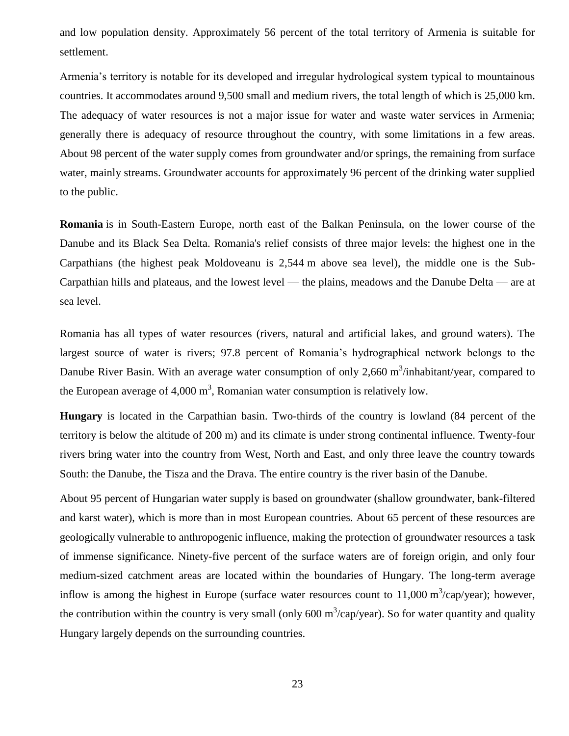and low population density. Approximately 56 percent of the total territory of Armenia is suitable for settlement.

Armenia's territory is notable for its developed and irregular hydrological system typical to mountainous countries. It accommodates around 9,500 small and medium rivers, the total length of which is 25,000 km. The adequacy of water resources is not a major issue for water and waste water services in Armenia; generally there is adequacy of resource throughout the country, with some limitations in a few areas. About 98 percent of the water supply comes from groundwater and/or springs, the remaining from surface water, mainly streams. Groundwater accounts for approximately 96 percent of the drinking water supplied to the public.

**Romania** is in South-Eastern Europe, north east of the Balkan Peninsula, on the lower course of the Danube and its Black Sea Delta. Romania's relief consists of three major levels: the highest one in the Carpathians (the highest peak Moldoveanu is 2,544 m above sea level), the middle one is the Sub-Carpathian hills and plateaus, and the lowest level — the plains, meadows and the Danube Delta — are at sea level.

Romania has all types of water resources (rivers, natural and artificial lakes, and ground waters). The largest source of water is rivers; 97.8 percent of Romania's hydrographical network belongs to the Danube River Basin. With an average water consumption of only 2,660 m<sup>3</sup>/inhabitant/year, compared to the European average of  $4,000 \text{ m}^3$ , Romanian water consumption is relatively low.

**Hungary** is located in the Carpathian basin. Two-thirds of the country is lowland (84 percent of the territory is below the altitude of 200 m) and its climate is under strong continental influence. Twenty-four rivers bring water into the country from West, North and East, and only three leave the country towards South: the Danube, the Tisza and the Drava. The entire country is the river basin of the Danube.

About 95 percent of Hungarian water supply is based on groundwater (shallow groundwater, bank-filtered and karst water), which is more than in most European countries. About 65 percent of these resources are geologically vulnerable to anthropogenic influence, making the protection of groundwater resources a task of immense significance. Ninety-five percent of the surface waters are of foreign origin, and only four medium-sized catchment areas are located within the boundaries of Hungary. The long-term average inflow is among the highest in Europe (surface water resources count to  $11,000 \text{ m}^3/\text{cap}/\text{year}$ ); however, the contribution within the country is very small (only 600 m<sup>3</sup>/cap/year). So for water quantity and quality Hungary largely depends on the surrounding countries.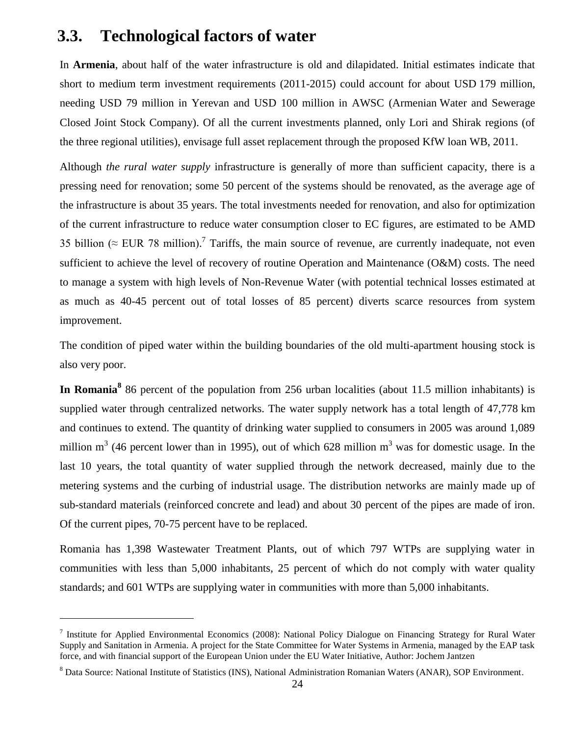### <span id="page-25-0"></span>**3.3. Technological factors of water**

 $\overline{a}$ 

In **Armenia**, about half of the water infrastructure is old and dilapidated. Initial estimates indicate that short to medium term investment requirements (2011-2015) could account for about USD 179 million, needing USD 79 million in Yerevan and USD 100 million in AWSC (Armenian Water and Sewerage Closed Joint Stock Company). Of all the current investments planned, only Lori and Shirak regions (of the three regional utilities), envisage full asset replacement through the proposed KfW loan WB, 2011.

Although *the rural water supply* infrastructure is generally of more than sufficient capacity, there is a pressing need for renovation; some 50 percent of the systems should be renovated, as the average age of the infrastructure is about 35 years. The total investments needed for renovation, and also for optimization of the current infrastructure to reduce water consumption closer to EC figures, are estimated to be AMD 35 billion ( $\approx$  EUR 78 million).<sup>7</sup> Tariffs, the main source of revenue, are currently inadequate, not even sufficient to achieve the level of recovery of routine Operation and Maintenance (O&M) costs. The need to manage a system with high levels of Non-Revenue Water (with potential technical losses estimated at as much as 40-45 percent out of total losses of 85 percent) diverts scarce resources from system improvement.

The condition of piped water within the building boundaries of the old multi-apartment housing stock is also very poor.

In Romania<sup>8</sup> 86 percent of the population from 256 urban localities (about 11.5 million inhabitants) is supplied water through centralized networks. The water supply network has a total length of 47,778 km and continues to extend. The quantity of drinking water supplied to consumers in 2005 was around 1,089 million m<sup>3</sup> (46 percent lower than in 1995), out of which 628 million m<sup>3</sup> was for domestic usage. In the last 10 years, the total quantity of water supplied through the network decreased, mainly due to the metering systems and the curbing of industrial usage. The distribution networks are mainly made up of sub-standard materials (reinforced concrete and lead) and about 30 percent of the pipes are made of iron. Of the current pipes, 70-75 percent have to be replaced.

Romania has 1,398 Wastewater Treatment Plants, out of which 797 WTPs are supplying water in communities with less than 5,000 inhabitants, 25 percent of which do not comply with water quality standards; and 601 WTPs are supplying water in communities with more than 5,000 inhabitants.

<sup>&</sup>lt;sup>7</sup> Institute for Applied Environmental Economics (2008): National Policy Dialogue on Financing Strategy for Rural Water Supply and Sanitation in Armenia. A project for the State Committee for Water Systems in Armenia, managed by the EAP task force, and with financial support of the European Union under the EU Water Initiative, Author: Jochem Jantzen

<sup>8</sup> Data Source: National Institute of Statistics (INS), National Administration Romanian Waters (ANAR), SOP Environment.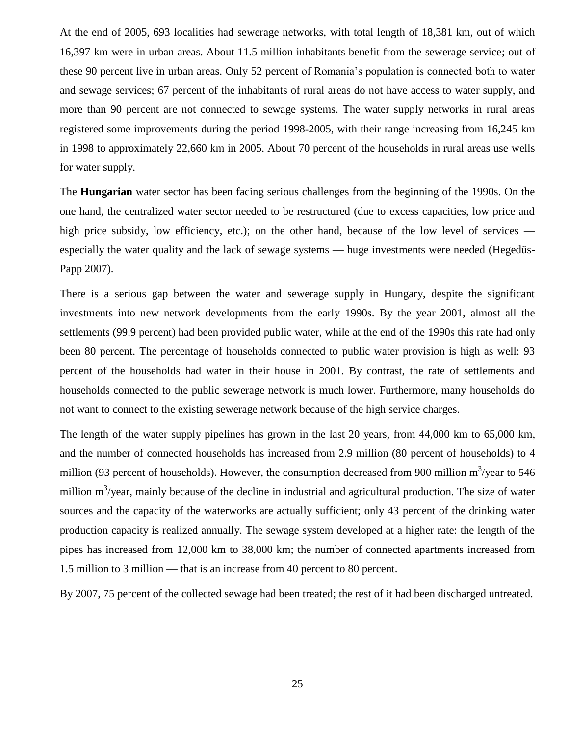At the end of 2005, 693 localities had sewerage networks, with total length of 18,381 km, out of which 16,397 km were in urban areas. About 11.5 million inhabitants benefit from the sewerage service; out of these 90 percent live in urban areas. Only 52 percent of Romania's population is connected both to water and sewage services; 67 percent of the inhabitants of rural areas do not have access to water supply, and more than 90 percent are not connected to sewage systems. The water supply networks in rural areas registered some improvements during the period 1998-2005, with their range increasing from 16,245 km in 1998 to approximately 22,660 km in 2005. About 70 percent of the households in rural areas use wells for water supply.

The **Hungarian** water sector has been facing serious challenges from the beginning of the 1990s. On the one hand, the centralized water sector needed to be restructured (due to excess capacities, low price and high price subsidy, low efficiency, etc.); on the other hand, because of the low level of services especially the water quality and the lack of sewage systems — huge investments were needed (Hegedüs-Papp 2007).

There is a serious gap between the water and sewerage supply in Hungary, despite the significant investments into new network developments from the early 1990s. By the year 2001, almost all the settlements (99.9 percent) had been provided public water, while at the end of the 1990s this rate had only been 80 percent. The percentage of households connected to public water provision is high as well: 93 percent of the households had water in their house in 2001. By contrast, the rate of settlements and households connected to the public sewerage network is much lower. Furthermore, many households do not want to connect to the existing sewerage network because of the high service charges.

The length of the water supply pipelines has grown in the last 20 years, from 44,000 km to 65,000 km, and the number of connected households has increased from 2.9 million (80 percent of households) to 4 million (93 percent of households). However, the consumption decreased from 900 million  $m^3$ /year to 546 million  $m^3$ /year, mainly because of the decline in industrial and agricultural production. The size of water sources and the capacity of the waterworks are actually sufficient; only 43 percent of the drinking water production capacity is realized annually. The sewage system developed at a higher rate: the length of the pipes has increased from 12,000 km to 38,000 km; the number of connected apartments increased from 1.5 million to 3 million — that is an increase from 40 percent to 80 percent.

By 2007, 75 percent of the collected sewage had been treated; the rest of it had been discharged untreated.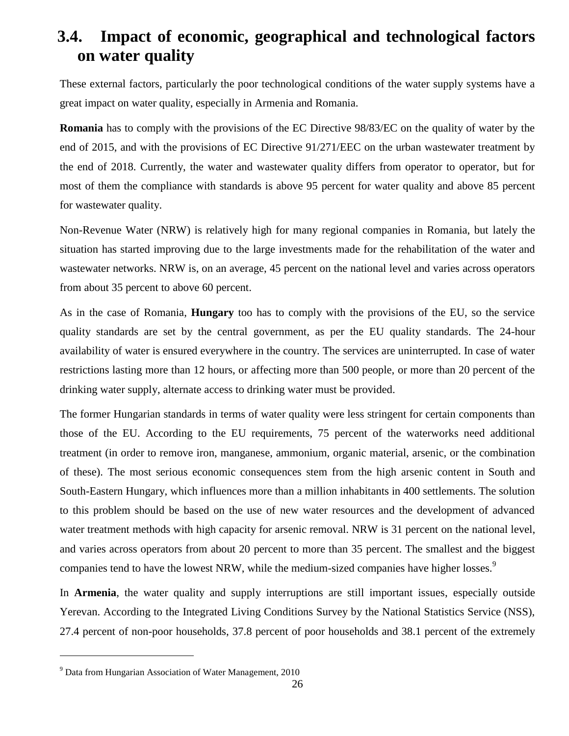# <span id="page-27-0"></span>**3.4. Impact of economic, geographical and technological factors on water quality**

These external factors, particularly the poor technological conditions of the water supply systems have a great impact on water quality, especially in Armenia and Romania.

**Romania** has to comply with the provisions of the EC Directive 98/83/EC on the quality of water by the end of 2015, and with the provisions of EC Directive 91/271/EEC on the urban wastewater treatment by the end of 2018. Currently, the water and wastewater quality differs from operator to operator, but for most of them the compliance with standards is above 95 percent for water quality and above 85 percent for wastewater quality.

Non-Revenue Water (NRW) is relatively high for many regional companies in Romania, but lately the situation has started improving due to the large investments made for the rehabilitation of the water and wastewater networks. NRW is, on an average, 45 percent on the national level and varies across operators from about 35 percent to above 60 percent.

As in the case of Romania, **Hungary** too has to comply with the provisions of the EU, so the service quality standards are set by the central government, as per the EU quality standards. The 24-hour availability of water is ensured everywhere in the country. The services are uninterrupted. In case of water restrictions lasting more than 12 hours, or affecting more than 500 people, or more than 20 percent of the drinking water supply, alternate access to drinking water must be provided.

The former Hungarian standards in terms of water quality were less stringent for certain components than those of the EU. According to the EU requirements, 75 percent of the waterworks need additional treatment (in order to remove iron, manganese, ammonium, organic material, arsenic, or the combination of these). The most serious economic consequences stem from the high arsenic content in South and South-Eastern Hungary, which influences more than a million inhabitants in 400 settlements. The solution to this problem should be based on the use of new water resources and the development of advanced water treatment methods with high capacity for arsenic removal. NRW is 31 percent on the national level, and varies across operators from about 20 percent to more than 35 percent. The smallest and the biggest companies tend to have the lowest NRW, while the medium-sized companies have higher losses.<sup>9</sup>

In **Armenia**, the water quality and supply interruptions are still important issues, especially outside Yerevan. According to the Integrated Living Conditions Survey by the National Statistics Service (NSS), 27.4 percent of non-poor households, 37.8 percent of poor households and 38.1 percent of the extremely

<sup>9</sup> Data from Hungarian Association of Water Management, 2010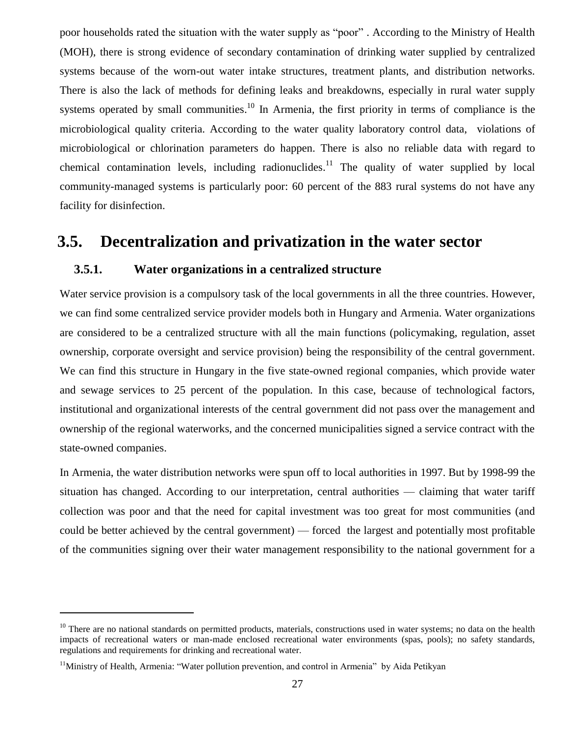poor households rated the situation with the water supply as "poor" . According to the Ministry of Health (MOH), there is strong evidence of secondary contamination of drinking water supplied by centralized systems because of the worn-out water intake structures, treatment plants, and distribution networks. There is also the lack of methods for defining leaks and breakdowns, especially in rural water supply systems operated by small communities.<sup>10</sup> In Armenia, the first priority in terms of compliance is the microbiological quality criteria. According to the water quality laboratory control data, violations of microbiological or chlorination parameters do happen. There is also no reliable data with regard to chemical contamination levels, including radionuclides.<sup>11</sup> The quality of water supplied by local community-managed systems is particularly poor: 60 percent of the 883 rural systems do not have any facility for disinfection.

### <span id="page-28-1"></span><span id="page-28-0"></span>**3.5. Decentralization and privatization in the water sector**

#### **3.5.1. Water organizations in a centralized structure**

Water service provision is a compulsory task of the local governments in all the three countries. However, we can find some centralized service provider models both in Hungary and Armenia. Water organizations are considered to be a centralized structure with all the main functions (policymaking, regulation, asset ownership, corporate oversight and service provision) being the responsibility of the central government. We can find this structure in Hungary in the five state-owned regional companies, which provide water and sewage services to 25 percent of the population. In this case, because of technological factors, institutional and organizational interests of the central government did not pass over the management and ownership of the regional waterworks, and the concerned municipalities signed a service contract with the state-owned companies.

In Armenia, the water distribution networks were spun off to local authorities in 1997. But by 1998-99 the situation has changed. According to our interpretation, central authorities — claiming that water tariff collection was poor and that the need for capital investment was too great for most communities (and could be better achieved by the central government) — forced the largest and potentially most profitable of the communities signing over their water management responsibility to the national government for a

 $10$  There are no national standards on permitted products, materials, constructions used in water systems; no data on the health impacts of recreational waters or man-made enclosed recreational water environments (spas, pools); no safety standards, regulations and requirements for drinking and recreational water.

<sup>&</sup>lt;sup>11</sup>Ministry of Health, Armenia: "Water pollution prevention, and control in Armenia" by Aida Petikyan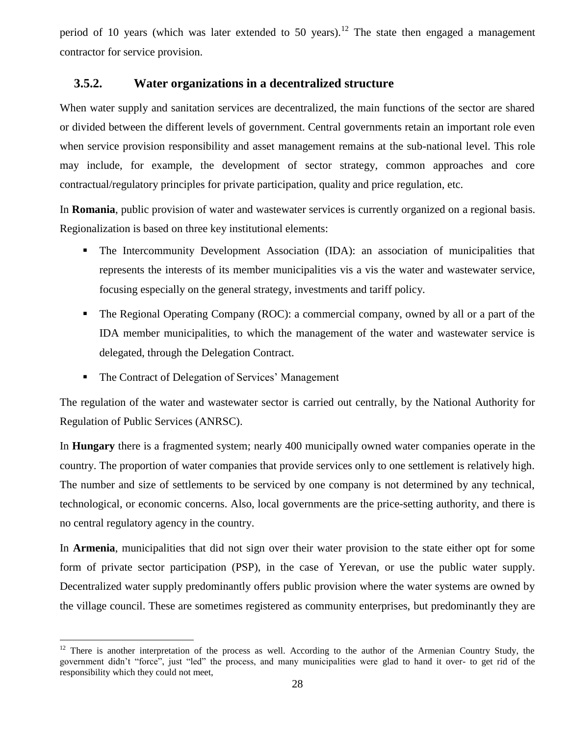period of 10 years (which was later extended to 50 years).<sup>12</sup> The state then engaged a management contractor for service provision.

#### <span id="page-29-0"></span>**3.5.2. Water organizations in a decentralized structure**

When water supply and sanitation services are decentralized, the main functions of the sector are shared or divided between the different levels of government. Central governments retain an important role even when service provision responsibility and asset management remains at the sub-national level. This role may include, for example, the development of sector strategy, common approaches and core contractual/regulatory principles for private participation, quality and price regulation, etc.

In **Romania**, public provision of water and wastewater services is currently organized on a regional basis. Regionalization is based on three key institutional elements:

- The Intercommunity Development Association (IDA): an association of municipalities that represents the interests of its member municipalities vis a vis the water and wastewater service, focusing especially on the general strategy, investments and tariff policy.
- The Regional Operating Company (ROC): a commercial company, owned by all or a part of the IDA member municipalities, to which the management of the water and wastewater service is delegated, through the Delegation Contract.
- The Contract of Delegation of Services' Management

 $\overline{a}$ 

The regulation of the water and wastewater sector is carried out centrally, by the National Authority for Regulation of Public Services (ANRSC).

In **Hungary** there is a fragmented system; nearly 400 municipally owned water companies operate in the country. The proportion of water companies that provide services only to one settlement is relatively high. The number and size of settlements to be serviced by one company is not determined by any technical, technological, or economic concerns. Also, local governments are the price-setting authority, and there is no central regulatory agency in the country.

In **Armenia**, municipalities that did not sign over their water provision to the state either opt for some form of private sector participation (PSP), in the case of Yerevan, or use the public water supply. Decentralized water supply predominantly offers public provision where the water systems are owned by the village council. These are sometimes registered as community enterprises, but predominantly they are

<sup>&</sup>lt;sup>12</sup> There is another interpretation of the process as well. According to the author of the Armenian Country Study, the government didn't "force", just "led" the process, and many municipalities were glad to hand it over- to get rid of the responsibility which they could not meet,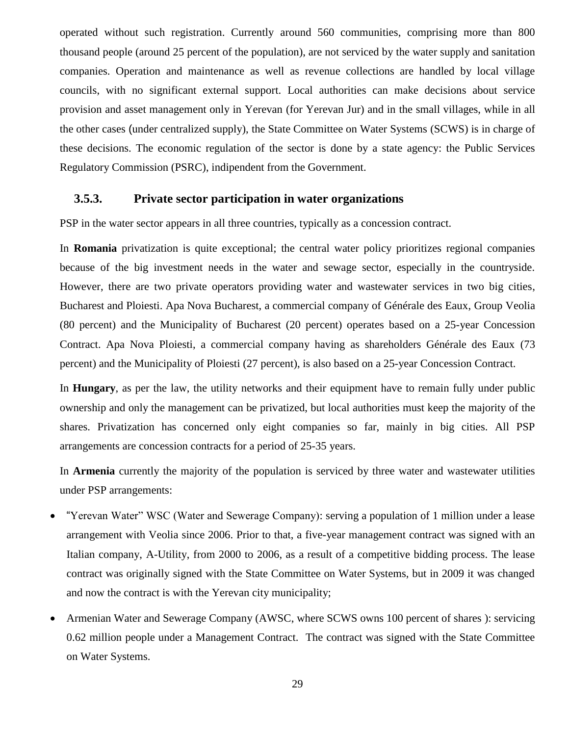operated without such registration. Currently around 560 communities, comprising more than 800 thousand people (around 25 percent of the population), are not serviced by the water supply and sanitation companies. Operation and maintenance as well as revenue collections are handled by local village councils, with no significant external support. Local authorities can make decisions about service provision and asset management only in Yerevan (for Yerevan Jur) and in the small villages, while in all the other cases (under centralized supply), the State Committee on Water Systems (SCWS) is in charge of these decisions. The economic regulation of the sector is done by a state agency: the Public Services Regulatory Commission (PSRC), indipendent from the Government.

#### <span id="page-30-0"></span>**3.5.3. Private sector participation in water organizations**

PSP in the water sector appears in all three countries, typically as a concession contract.

In **Romania** privatization is quite exceptional; the central water policy prioritizes regional companies because of the big investment needs in the water and sewage sector, especially in the countryside. However, there are two private operators providing water and wastewater services in two big cities, Bucharest and Ploiesti. Apa Nova Bucharest, a commercial company of Générale des Eaux, Group Veolia (80 percent) and the Municipality of Bucharest (20 percent) operates based on a 25-year Concession Contract. Apa Nova Ploiesti, a commercial company having as shareholders Générale des Eaux (73 percent) and the Municipality of Ploiesti (27 percent), is also based on a 25-year Concession Contract.

In **Hungary**, as per the law, the utility networks and their equipment have to remain fully under public ownership and only the management can be privatized, but local authorities must keep the majority of the shares. Privatization has concerned only eight companies so far, mainly in big cities. All PSP arrangements are concession contracts for a period of 25-35 years.

In **Armenia** currently the majority of the population is serviced by three water and wastewater utilities under PSP arrangements:

- · "Yerevan Water" WSC (Water and Sewerage Company): serving a population of 1 million under a lease arrangement with Veolia since 2006. Prior to that, a five-year management contract was signed with an Italian company, A-Utility, from 2000 to 2006, as a result of a competitive bidding process. The lease contract was originally signed with the State Committee on Water Systems, but in 2009 it was changed and now the contract is with the Yerevan city municipality;
- Armenian Water and Sewerage Company (AWSC, where SCWS owns 100 percent of shares): servicing 0.62 million people under a Management Contract. The contract was signed with the State Committee on Water Systems.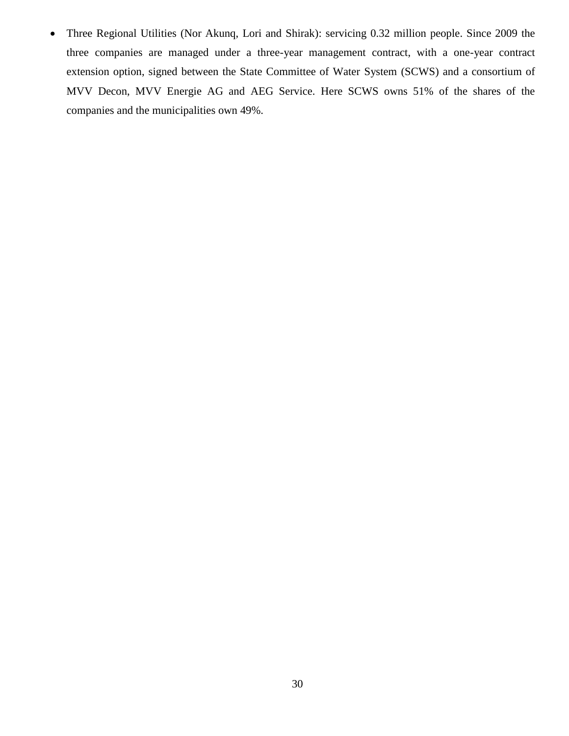· Three Regional Utilities (Nor Akunq, Lori and Shirak): servicing 0.32 million people. Since 2009 the three companies are managed under a three-year management contract, with a one-year contract extension option, signed between the State Committee of Water System (SCWS) and a consortium of MVV Decon, MVV Energie AG and AEG Service. Here SCWS owns 51% of the shares of the companies and the municipalities own 49%.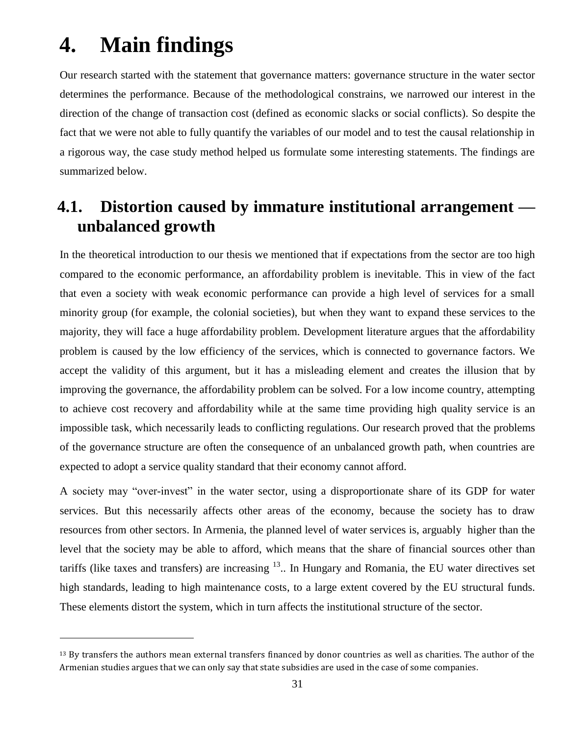# <span id="page-32-0"></span>**4. Main findings**

 $\overline{a}$ 

Our research started with the statement that governance matters: governance structure in the water sector determines the performance. Because of the methodological constrains, we narrowed our interest in the direction of the change of transaction cost (defined as economic slacks or social conflicts). So despite the fact that we were not able to fully quantify the variables of our model and to test the causal relationship in a rigorous way, the case study method helped us formulate some interesting statements. The findings are summarized below.

## <span id="page-32-1"></span>**4.1. Distortion caused by immature institutional arrangement unbalanced growth**

In the theoretical introduction to our thesis we mentioned that if expectations from the sector are too high compared to the economic performance, an affordability problem is inevitable. This in view of the fact that even a society with weak economic performance can provide a high level of services for a small minority group (for example, the colonial societies), but when they want to expand these services to the majority, they will face a huge affordability problem. Development literature argues that the affordability problem is caused by the low efficiency of the services, which is connected to governance factors. We accept the validity of this argument, but it has a misleading element and creates the illusion that by improving the governance, the affordability problem can be solved. For a low income country, attempting to achieve cost recovery and affordability while at the same time providing high quality service is an impossible task, which necessarily leads to conflicting regulations. Our research proved that the problems of the governance structure are often the consequence of an unbalanced growth path, when countries are expected to adopt a service quality standard that their economy cannot afford.

A society may "over-invest" in the water sector, using a disproportionate share of its GDP for water services. But this necessarily affects other areas of the economy, because the society has to draw resources from other sectors. In Armenia, the planned level of water services is, arguably higher than the level that the society may be able to afford, which means that the share of financial sources other than tariffs (like taxes and transfers) are increasing <sup>13</sup>.. In Hungary and Romania, the EU water directives set high standards, leading to high maintenance costs, to a large extent covered by the EU structural funds. These elements distort the system, which in turn affects the institutional structure of the sector.

 $13$  By transfers the authors mean external transfers financed by donor countries as well as charities. The author of the Armenian studies argues that we can only say that state subsidies are used in the case of some companies.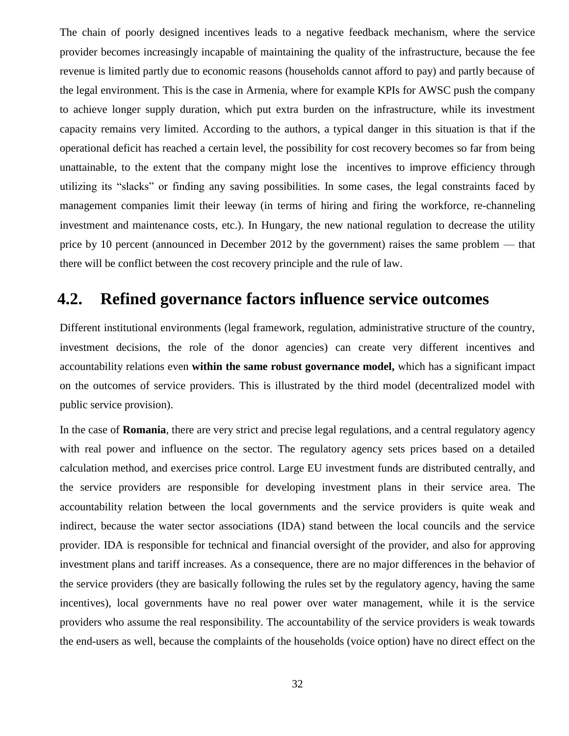The chain of poorly designed incentives leads to a negative feedback mechanism, where the service provider becomes increasingly incapable of maintaining the quality of the infrastructure, because the fee revenue is limited partly due to economic reasons (households cannot afford to pay) and partly because of the legal environment. This is the case in Armenia, where for example KPIs for AWSC push the company to achieve longer supply duration, which put extra burden on the infrastructure, while its investment capacity remains very limited. According to the authors, a typical danger in this situation is that if the operational deficit has reached a certain level, the possibility for cost recovery becomes so far from being unattainable, to the extent that the company might lose the incentives to improve efficiency through utilizing its "slacks" or finding any saving possibilities. In some cases, the legal constraints faced by management companies limit their leeway (in terms of hiring and firing the workforce, re-channeling investment and maintenance costs, etc.). In Hungary, the new national regulation to decrease the utility price by 10 percent (announced in December 2012 by the government) raises the same problem — that there will be conflict between the cost recovery principle and the rule of law.

### <span id="page-33-0"></span>**4.2. Refined governance factors influence service outcomes**

Different institutional environments (legal framework, regulation, administrative structure of the country, investment decisions, the role of the donor agencies) can create very different incentives and accountability relations even **within the same robust governance model,** which has a significant impact on the outcomes of service providers. This is illustrated by the third model (decentralized model with public service provision).

In the case of **Romania**, there are very strict and precise legal regulations, and a central regulatory agency with real power and influence on the sector. The regulatory agency sets prices based on a detailed calculation method, and exercises price control. Large EU investment funds are distributed centrally, and the service providers are responsible for developing investment plans in their service area. The accountability relation between the local governments and the service providers is quite weak and indirect, because the water sector associations (IDA) stand between the local councils and the service provider. IDA is responsible for technical and financial oversight of the provider, and also for approving investment plans and tariff increases. As a consequence, there are no major differences in the behavior of the service providers (they are basically following the rules set by the regulatory agency, having the same incentives), local governments have no real power over water management, while it is the service providers who assume the real responsibility. The accountability of the service providers is weak towards the end-users as well, because the complaints of the households (voice option) have no direct effect on the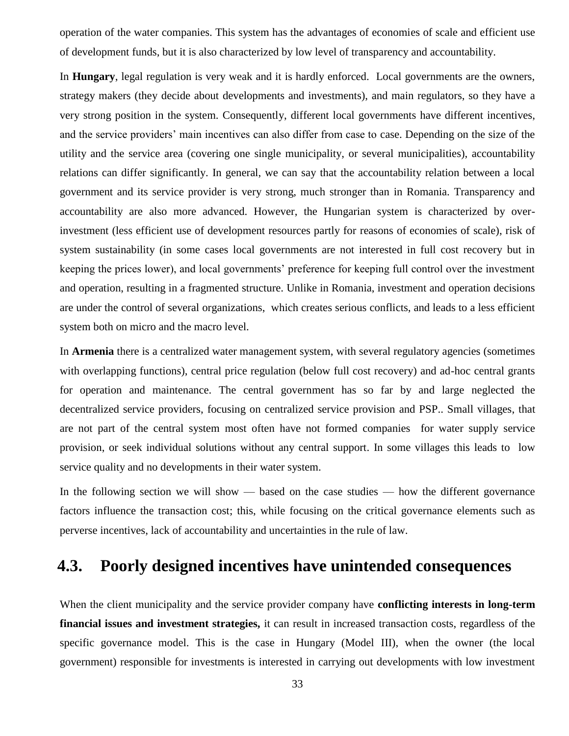operation of the water companies. This system has the advantages of economies of scale and efficient use of development funds, but it is also characterized by low level of transparency and accountability.

In **Hungary**, legal regulation is very weak and it is hardly enforced. Local governments are the owners, strategy makers (they decide about developments and investments), and main regulators, so they have a very strong position in the system. Consequently, different local governments have different incentives, and the service providers' main incentives can also differ from case to case. Depending on the size of the utility and the service area (covering one single municipality, or several municipalities), accountability relations can differ significantly. In general, we can say that the accountability relation between a local government and its service provider is very strong, much stronger than in Romania. Transparency and accountability are also more advanced. However, the Hungarian system is characterized by overinvestment (less efficient use of development resources partly for reasons of economies of scale), risk of system sustainability (in some cases local governments are not interested in full cost recovery but in keeping the prices lower), and local governments' preference for keeping full control over the investment and operation, resulting in a fragmented structure. Unlike in Romania, investment and operation decisions are under the control of several organizations, which creates serious conflicts, and leads to a less efficient system both on micro and the macro level.

In **Armenia** there is a centralized water management system, with several regulatory agencies (sometimes with overlapping functions), central price regulation (below full cost recovery) and ad-hoc central grants for operation and maintenance. The central government has so far by and large neglected the decentralized service providers, focusing on centralized service provision and PSP.. Small villages, that are not part of the central system most often have not formed companies for water supply service provision, or seek individual solutions without any central support. In some villages this leads to low service quality and no developments in their water system.

In the following section we will show — based on the case studies — how the different governance factors influence the transaction cost; this, while focusing on the critical governance elements such as perverse incentives, lack of accountability and uncertainties in the rule of law.

## <span id="page-34-0"></span>**4.3. Poorly designed incentives have unintended consequences**

When the client municipality and the service provider company have **conflicting interests in long-term financial issues and investment strategies,** it can result in increased transaction costs, regardless of the specific governance model. This is the case in Hungary (Model III), when the owner (the local government) responsible for investments is interested in carrying out developments with low investment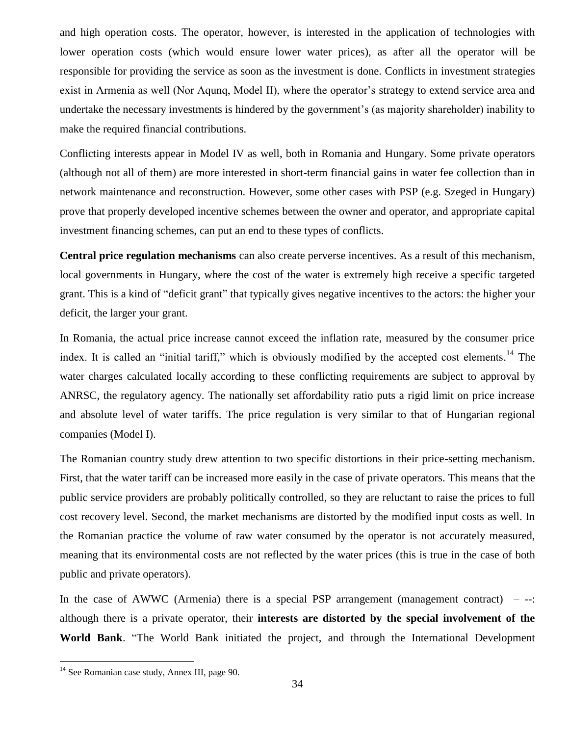and high operation costs. The operator, however, is interested in the application of technologies with lower operation costs (which would ensure lower water prices), as after all the operator will be responsible for providing the service as soon as the investment is done. Conflicts in investment strategies exist in Armenia as well (Nor Aqunq, Model II), where the operator's strategy to extend service area and undertake the necessary investments is hindered by the government's (as majority shareholder) inability to make the required financial contributions.

Conflicting interests appear in Model IV as well, both in Romania and Hungary. Some private operators (although not all of them) are more interested in short-term financial gains in water fee collection than in network maintenance and reconstruction. However, some other cases with PSP (e.g. Szeged in Hungary) prove that properly developed incentive schemes between the owner and operator, and appropriate capital investment financing schemes, can put an end to these types of conflicts.

**Central price regulation mechanisms** can also create perverse incentives. As a result of this mechanism, local governments in Hungary, where the cost of the water is extremely high receive a specific targeted grant. This is a kind of "deficit grant" that typically gives negative incentives to the actors: the higher your deficit, the larger your grant.

In Romania, the actual price increase cannot exceed the inflation rate, measured by the consumer price index. It is called an "initial tariff," which is obviously modified by the accepted cost elements.<sup>14</sup> The water charges calculated locally according to these conflicting requirements are subject to approval by ANRSC, the regulatory agency. The nationally set affordability ratio puts a rigid limit on price increase and absolute level of water tariffs. The price regulation is very similar to that of Hungarian regional companies (Model I).

The Romanian country study drew attention to two specific distortions in their price-setting mechanism. First, that the water tariff can be increased more easily in the case of private operators. This means that the public service providers are probably politically controlled, so they are reluctant to raise the prices to full cost recovery level. Second, the market mechanisms are distorted by the modified input costs as well. In the Romanian practice the volume of raw water consumed by the operator is not accurately measured, meaning that its environmental costs are not reflected by the water prices (this is true in the case of both public and private operators).

In the case of AWWC (Armenia) there is a special PSP arrangement (management contract)  $-$  --: although there is a private operator, their **interests are distorted by the special involvement of the World Bank**. "The World Bank initiated the project, and through the International Development

<sup>&</sup>lt;sup>14</sup> See Romanian case study, Annex III, page 90.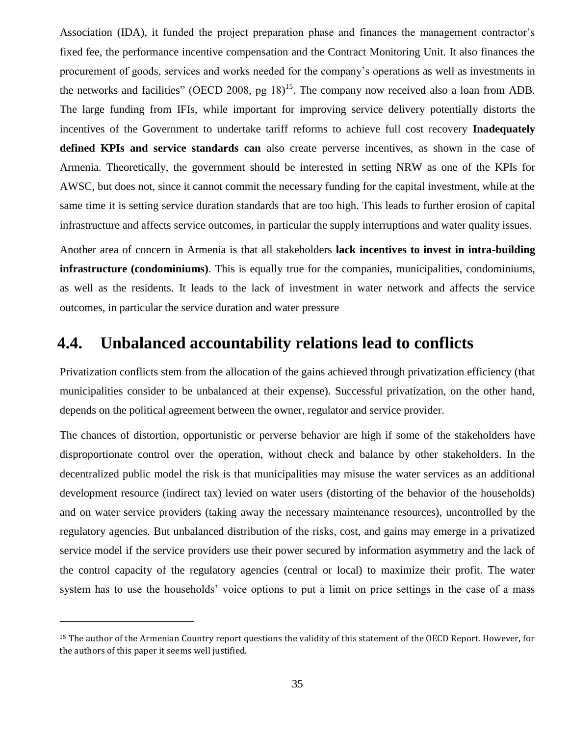Association (IDA), it funded the project preparation phase and finances the management contractor's fixed fee, the performance incentive compensation and the Contract Monitoring Unit. It also finances the procurement of goods, services and works needed for the company's operations as well as investments in the networks and facilities" (OECD 2008, pg  $18$ )<sup>15</sup>. The company now received also a loan from ADB. The large funding from IFIs, while important for improving service delivery potentially distorts the incentives of the Government to undertake tariff reforms to achieve full cost recovery **Inadequately defined KPIs and service standards can** also create perverse incentives, as shown in the case of Armenia. Theoretically, the government should be interested in setting NRW as one of the KPIs for AWSC, but does not, since it cannot commit the necessary funding for the capital investment, while at the same time it is setting service duration standards that are too high. This leads to further erosion of capital infrastructure and affects service outcomes, in particular the supply interruptions and water quality issues.

Another area of concern in Armenia is that all stakeholders **lack incentives to invest in intra-building infrastructure (condominiums)**. This is equally true for the companies, municipalities, condominiums, as well as the residents. It leads to the lack of investment in water network and affects the service outcomes, in particular the service duration and water pressure

### <span id="page-36-0"></span>**4.4. Unbalanced accountability relations lead to conflicts**

Privatization conflicts stem from the allocation of the gains achieved through privatization efficiency (that municipalities consider to be unbalanced at their expense). Successful privatization, on the other hand, depends on the political agreement between the owner, regulator and service provider.

The chances of distortion, opportunistic or perverse behavior are high if some of the stakeholders have disproportionate control over the operation, without check and balance by other stakeholders. In the decentralized public model the risk is that municipalities may misuse the water services as an additional development resource (indirect tax) levied on water users (distorting of the behavior of the households) and on water service providers (taking away the necessary maintenance resources), uncontrolled by the regulatory agencies. But unbalanced distribution of the risks, cost, and gains may emerge in a privatized service model if the service providers use their power secured by information asymmetry and the lack of the control capacity of the regulatory agencies (central or local) to maximize their profit. The water system has to use the households' voice options to put a limit on price settings in the case of a mass

<sup>15</sup> The author of the Armenian Country report questions the validity of this statement of the OECD Report. However, for the authors of this paper it seems well justified.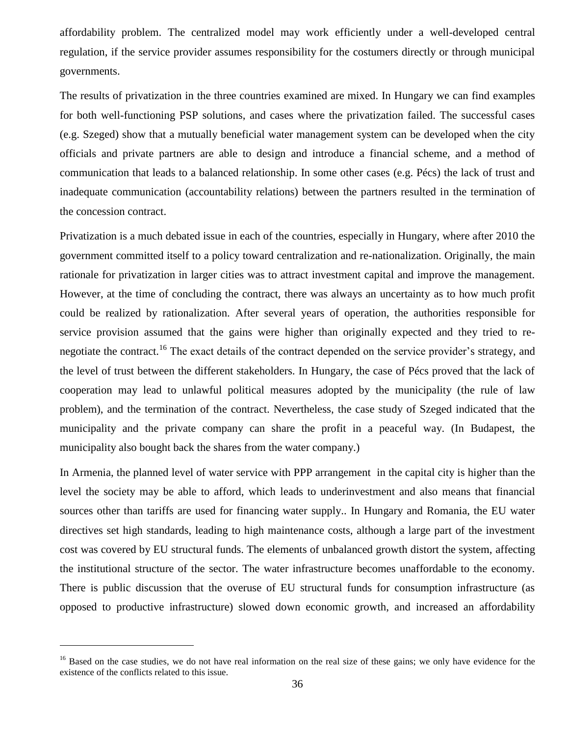affordability problem. The centralized model may work efficiently under a well-developed central regulation, if the service provider assumes responsibility for the costumers directly or through municipal governments.

The results of privatization in the three countries examined are mixed. In Hungary we can find examples for both well-functioning PSP solutions, and cases where the privatization failed. The successful cases (e.g. Szeged) show that a mutually beneficial water management system can be developed when the city officials and private partners are able to design and introduce a financial scheme, and a method of communication that leads to a balanced relationship. In some other cases (e.g. Pécs) the lack of trust and inadequate communication (accountability relations) between the partners resulted in the termination of the concession contract.

Privatization is a much debated issue in each of the countries, especially in Hungary, where after 2010 the government committed itself to a policy toward centralization and re-nationalization. Originally, the main rationale for privatization in larger cities was to attract investment capital and improve the management. However, at the time of concluding the contract, there was always an uncertainty as to how much profit could be realized by rationalization. After several years of operation, the authorities responsible for service provision assumed that the gains were higher than originally expected and they tried to renegotiate the contract.<sup>16</sup> The exact details of the contract depended on the service provider's strategy, and the level of trust between the different stakeholders. In Hungary, the case of Pécs proved that the lack of cooperation may lead to unlawful political measures adopted by the municipality (the rule of law problem), and the termination of the contract. Nevertheless, the case study of Szeged indicated that the municipality and the private company can share the profit in a peaceful way. (In Budapest, the municipality also bought back the shares from the water company.)

In Armenia, the planned level of water service with PPP arrangement in the capital city is higher than the level the society may be able to afford, which leads to underinvestment and also means that financial sources other than tariffs are used for financing water supply.. In Hungary and Romania, the EU water directives set high standards, leading to high maintenance costs, although a large part of the investment cost was covered by EU structural funds. The elements of unbalanced growth distort the system, affecting the institutional structure of the sector. The water infrastructure becomes unaffordable to the economy. There is public discussion that the overuse of EU structural funds for consumption infrastructure (as opposed to productive infrastructure) slowed down economic growth, and increased an affordability

<sup>&</sup>lt;sup>16</sup> Based on the case studies, we do not have real information on the real size of these gains; we only have evidence for the existence of the conflicts related to this issue.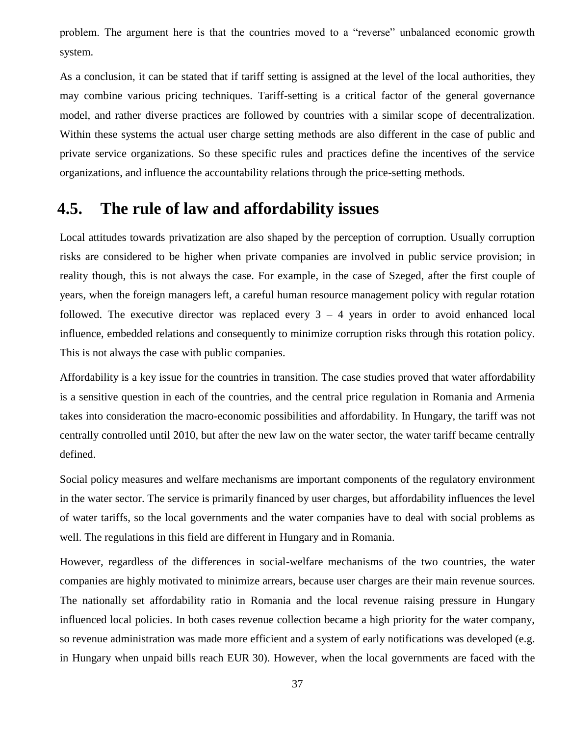problem. The argument here is that the countries moved to a "reverse" unbalanced economic growth system.

As a conclusion, it can be stated that if tariff setting is assigned at the level of the local authorities, they may combine various pricing techniques. Tariff-setting is a critical factor of the general governance model, and rather diverse practices are followed by countries with a similar scope of decentralization. Within these systems the actual user charge setting methods are also different in the case of public and private service organizations. So these specific rules and practices define the incentives of the service organizations, and influence the accountability relations through the price-setting methods.

### <span id="page-38-0"></span>**4.5. The rule of law and affordability issues**

Local attitudes towards privatization are also shaped by the perception of corruption. Usually corruption risks are considered to be higher when private companies are involved in public service provision; in reality though, this is not always the case. For example, in the case of Szeged, after the first couple of years, when the foreign managers left, a careful human resource management policy with regular rotation followed. The executive director was replaced every  $3 - 4$  years in order to avoid enhanced local influence, embedded relations and consequently to minimize corruption risks through this rotation policy. This is not always the case with public companies.

Affordability is a key issue for the countries in transition. The case studies proved that water affordability is a sensitive question in each of the countries, and the central price regulation in Romania and Armenia takes into consideration the macro-economic possibilities and affordability. In Hungary, the tariff was not centrally controlled until 2010, but after the new law on the water sector, the water tariff became centrally defined.

Social policy measures and welfare mechanisms are important components of the regulatory environment in the water sector. The service is primarily financed by user charges, but affordability influences the level of water tariffs, so the local governments and the water companies have to deal with social problems as well. The regulations in this field are different in Hungary and in Romania.

However, regardless of the differences in social-welfare mechanisms of the two countries, the water companies are highly motivated to minimize arrears, because user charges are their main revenue sources. The nationally set affordability ratio in Romania and the local revenue raising pressure in Hungary influenced local policies. In both cases revenue collection became a high priority for the water company, so revenue administration was made more efficient and a system of early notifications was developed (e.g. in Hungary when unpaid bills reach EUR 30). However, when the local governments are faced with the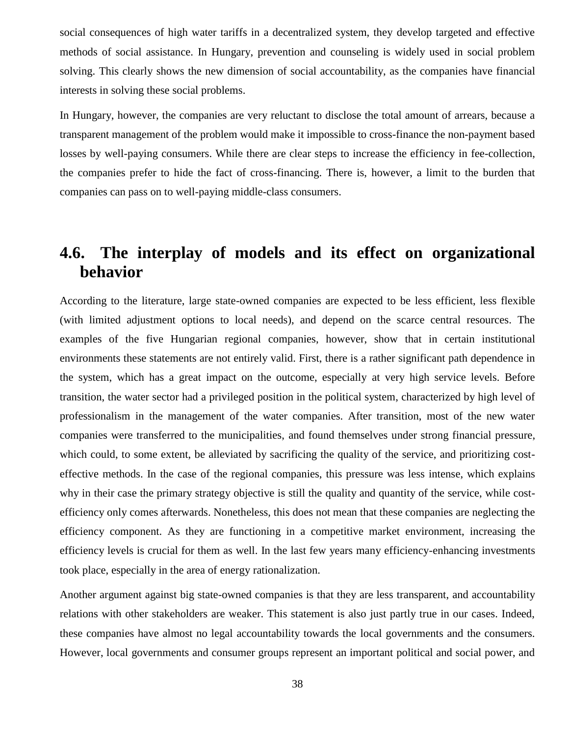social consequences of high water tariffs in a decentralized system, they develop targeted and effective methods of social assistance. In Hungary, prevention and counseling is widely used in social problem solving. This clearly shows the new dimension of social accountability, as the companies have financial interests in solving these social problems.

In Hungary, however, the companies are very reluctant to disclose the total amount of arrears, because a transparent management of the problem would make it impossible to cross-finance the non-payment based losses by well-paying consumers. While there are clear steps to increase the efficiency in fee-collection, the companies prefer to hide the fact of cross-financing. There is, however, a limit to the burden that companies can pass on to well-paying middle-class consumers.

# <span id="page-39-0"></span>**4.6. The interplay of models and its effect on organizational behavior**

According to the literature, large state-owned companies are expected to be less efficient, less flexible (with limited adjustment options to local needs), and depend on the scarce central resources. The examples of the five Hungarian regional companies, however, show that in certain institutional environments these statements are not entirely valid. First, there is a rather significant path dependence in the system, which has a great impact on the outcome, especially at very high service levels. Before transition, the water sector had a privileged position in the political system, characterized by high level of professionalism in the management of the water companies. After transition, most of the new water companies were transferred to the municipalities, and found themselves under strong financial pressure, which could, to some extent, be alleviated by sacrificing the quality of the service, and prioritizing costeffective methods. In the case of the regional companies, this pressure was less intense, which explains why in their case the primary strategy objective is still the quality and quantity of the service, while costefficiency only comes afterwards. Nonetheless, this does not mean that these companies are neglecting the efficiency component. As they are functioning in a competitive market environment, increasing the efficiency levels is crucial for them as well. In the last few years many efficiency-enhancing investments took place, especially in the area of energy rationalization.

Another argument against big state-owned companies is that they are less transparent, and accountability relations with other stakeholders are weaker. This statement is also just partly true in our cases. Indeed, these companies have almost no legal accountability towards the local governments and the consumers. However, local governments and consumer groups represent an important political and social power, and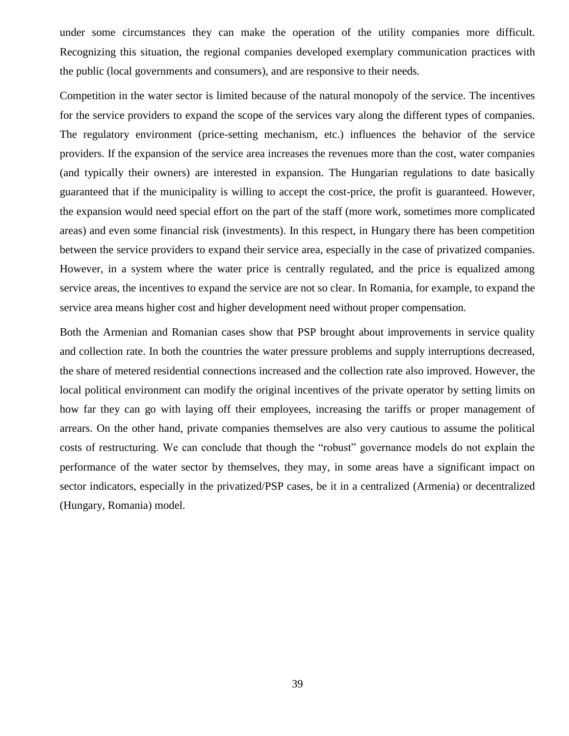under some circumstances they can make the operation of the utility companies more difficult. Recognizing this situation, the regional companies developed exemplary communication practices with the public (local governments and consumers), and are responsive to their needs.

Competition in the water sector is limited because of the natural monopoly of the service. The incentives for the service providers to expand the scope of the services vary along the different types of companies. The regulatory environment (price-setting mechanism, etc.) influences the behavior of the service providers. If the expansion of the service area increases the revenues more than the cost, water companies (and typically their owners) are interested in expansion. The Hungarian regulations to date basically guaranteed that if the municipality is willing to accept the cost-price, the profit is guaranteed. However, the expansion would need special effort on the part of the staff (more work, sometimes more complicated areas) and even some financial risk (investments). In this respect, in Hungary there has been competition between the service providers to expand their service area, especially in the case of privatized companies. However, in a system where the water price is centrally regulated, and the price is equalized among service areas, the incentives to expand the service are not so clear. In Romania, for example, to expand the service area means higher cost and higher development need without proper compensation.

Both the Armenian and Romanian cases show that PSP brought about improvements in service quality and collection rate. In both the countries the water pressure problems and supply interruptions decreased, the share of metered residential connections increased and the collection rate also improved. However, the local political environment can modify the original incentives of the private operator by setting limits on how far they can go with laying off their employees, increasing the tariffs or proper management of arrears. On the other hand, private companies themselves are also very cautious to assume the political costs of restructuring. We can conclude that though the "robust" governance models do not explain the performance of the water sector by themselves, they may, in some areas have a significant impact on sector indicators, especially in the privatized/PSP cases, be it in a centralized (Armenia) or decentralized (Hungary, Romania) model.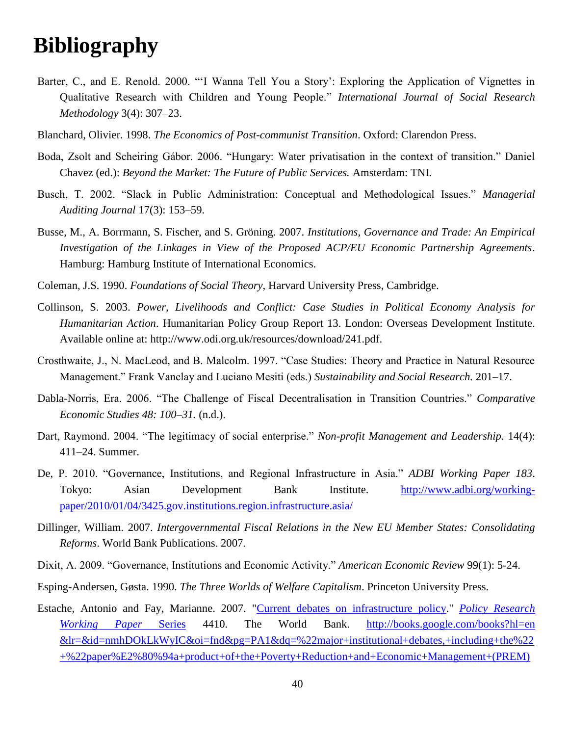# <span id="page-41-0"></span>**Bibliography**

- Barter, C., and E. Renold. 2000. "'I Wanna Tell You a Story': Exploring the Application of Vignettes in Qualitative Research with Children and Young People." *International Journal of Social Research Methodology* 3(4): 307–23.
- Blanchard, Olivier. 1998. *The Economics of Post-communist Transition*. Oxford: Clarendon Press.
- Boda, Zsolt and Scheiring Gábor. 2006. "Hungary: Water privatisation in the context of transition." Daniel Chavez (ed.): *Beyond the Market: The Future of Public Services.* Amsterdam: TNI.
- Busch, T. 2002. "Slack in Public Administration: Conceptual and Methodological Issues." *Managerial Auditing Journal* 17(3): 153–59.
- Busse, M., A. Borrmann, S. Fischer, and S. Gröning. 2007. *Institutions, Governance and Trade: An Empirical Investigation of the Linkages in View of the Proposed ACP/EU Economic Partnership Agreements*. Hamburg: Hamburg Institute of International Economics.
- Coleman, J.S. 1990. *Foundations of Social Theory,* Harvard University Press, Cambridge.
- Collinson, S. 2003. *Power, Livelihoods and Conflict: Case Studies in Political Economy Analysis for Humanitarian Action*. Humanitarian Policy Group Report 13. London: Overseas Development Institute. Available online at: http://www.odi.org.uk/resources/download/241.pdf.
- Crosthwaite, J., N. MacLeod, and B. Malcolm. 1997. "Case Studies: Theory and Practice in Natural Resource Management." Frank Vanclay and Luciano Mesiti (eds.) *Sustainability and Social Research.* 201–17.
- Dabla-Norris, Era. 2006. "The Challenge of Fiscal Decentralisation in Transition Countries." *Comparative Economic Studies 48: 100–31.* (n.d.).
- Dart, Raymond. 2004. "The legitimacy of social enterprise." *Non-profit Management and Leadership*. 14(4): 411–24. Summer.
- De, P. 2010. "Governance, Institutions, and Regional Infrastructure in Asia." *ADBI Working Paper 183*. Tokyo: Asian Development Bank Institute. [http://www.adbi.org/working](http://www.adbi.org/working-paper/2010/01/04/3425.gov.institutions.region.infrastructure.asia/)[paper/2010/01/04/3425.gov.institutions.region.infrastructure.asia/](http://www.adbi.org/working-paper/2010/01/04/3425.gov.institutions.region.infrastructure.asia/)
- Dillinger, William. 2007. *Intergovernmental Fiscal Relations in the New EU Member States: Consolidating Reforms*. World Bank Publications. 2007.
- Dixit, A. 2009. "Governance, Institutions and Economic Activity." *American Economic Review* 99(1): 5-24.
- Esping-Andersen, Gøsta. 1990. *The Three Worlds of Welfare Capitalism*. Princeton University Press.
- Estache, Antonio and Fay, Marianne. 2007. ["Current debates on infrastructure policy.](http://ideas.repec.org/p/wbk/wbrwps/4410.html)" *[Policy Research](http://ideas.repec.org/s/wbk/wbrwps.html)  [Working Paper](http://ideas.repec.org/s/wbk/wbrwps.html)* Series 4410. The World Bank. [http://books.google.com/books?hl=en](http://books.google.com/books?hl=en%20&lr=&id=nmhDOkLkWyIC&oi=fnd&pg=PA1&dq=%22major+institutional+debates,+including+the%22+%22paper%E2%80%94a+product+of+the+Poverty+Reduction+and+Economic+Management+(PREM)+Vice-Presidency%E2%80%94is+part+of+a%22+%22to+gather+the+best+understanding+there+is+%20about+the+policies+and+strategies+that+underlie+rapid+economi&ots=n_S7Tvi_2j&sig=5cf-b01cxFD%20uLFf_jtRIN76KDkQ)  [&lr=&id=nmhDOkLkWyIC&oi=fnd&pg=PA1&dq=%22major+institutional+debates,+including+the%22](http://books.google.com/books?hl=en%20&lr=&id=nmhDOkLkWyIC&oi=fnd&pg=PA1&dq=%22major+institutional+debates,+including+the%22+%22paper%E2%80%94a+product+of+the+Poverty+Reduction+and+Economic+Management+(PREM)+Vice-Presidency%E2%80%94is+part+of+a%22+%22to+gather+the+best+understanding+there+is+%20about+the+policies+and+strategies+that+underlie+rapid+economi&ots=n_S7Tvi_2j&sig=5cf-b01cxFD%20uLFf_jtRIN76KDkQ) [+%22paper%E2%80%94a+product+of+the+Poverty+Reduction+and+Economic+Management+\(PREM\)](http://books.google.com/books?hl=en%20&lr=&id=nmhDOkLkWyIC&oi=fnd&pg=PA1&dq=%22major+institutional+debates,+including+the%22+%22paper%E2%80%94a+product+of+the+Poverty+Reduction+and+Economic+Management+(PREM)+Vice-Presidency%E2%80%94is+part+of+a%22+%22to+gather+the+best+understanding+there+is+%20about+the+policies+and+strategies+that+underlie+rapid+economi&ots=n_S7Tvi_2j&sig=5cf-b01cxFD%20uLFf_jtRIN76KDkQ)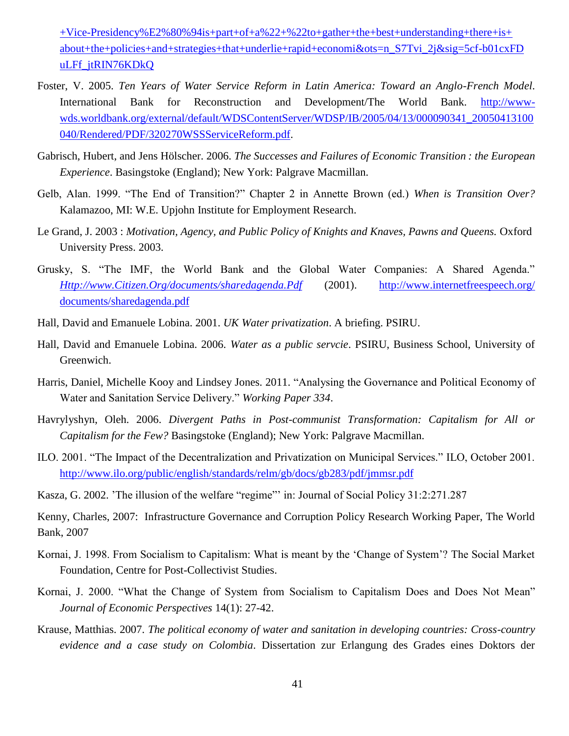[+Vice-Presidency%E2%80%94is+part+of+a%22+%22to+gather+the+best+understanding+there+is+](http://books.google.com/books?hl=en%20&lr=&id=nmhDOkLkWyIC&oi=fnd&pg=PA1&dq=%22major+institutional+debates,+including+the%22+%22paper%E2%80%94a+product+of+the+Poverty+Reduction+and+Economic+Management+(PREM)+Vice-Presidency%E2%80%94is+part+of+a%22+%22to+gather+the+best+understanding+there+is+%20about+the+policies+and+strategies+that+underlie+rapid+economi&ots=n_S7Tvi_2j&sig=5cf-b01cxFD%20uLFf_jtRIN76KDkQ)  [about+the+policies+and+strategies+that+underlie+rapid+economi&ots=n\\_S7Tvi\\_2j&sig=5cf-b01cxFD](http://books.google.com/books?hl=en%20&lr=&id=nmhDOkLkWyIC&oi=fnd&pg=PA1&dq=%22major+institutional+debates,+including+the%22+%22paper%E2%80%94a+product+of+the+Poverty+Reduction+and+Economic+Management+(PREM)+Vice-Presidency%E2%80%94is+part+of+a%22+%22to+gather+the+best+understanding+there+is+%20about+the+policies+and+strategies+that+underlie+rapid+economi&ots=n_S7Tvi_2j&sig=5cf-b01cxFD%20uLFf_jtRIN76KDkQ)  [uLFf\\_jtRIN76KDkQ](http://books.google.com/books?hl=en%20&lr=&id=nmhDOkLkWyIC&oi=fnd&pg=PA1&dq=%22major+institutional+debates,+including+the%22+%22paper%E2%80%94a+product+of+the+Poverty+Reduction+and+Economic+Management+(PREM)+Vice-Presidency%E2%80%94is+part+of+a%22+%22to+gather+the+best+understanding+there+is+%20about+the+policies+and+strategies+that+underlie+rapid+economi&ots=n_S7Tvi_2j&sig=5cf-b01cxFD%20uLFf_jtRIN76KDkQ)

- Foster, V. 2005. *Ten Years of Water Service Reform in Latin America: Toward an Anglo-French Model*. International Bank for Reconstruction and Development/The World Bank. [http://www](http://www-wds.worldbank.org/external/default/WDSContentServer/WDSP/IB/2005/04/13/000090341_20050413100040/Rendered/PDF/320270WSSServiceReform.pdf)[wds.worldbank.org/external/default/WDSContentServer/WDSP/IB/2005/04/13/000090341\\_20050413100](http://www-wds.worldbank.org/external/default/WDSContentServer/WDSP/IB/2005/04/13/000090341_20050413100040/Rendered/PDF/320270WSSServiceReform.pdf) [040/Rendered/PDF/320270WSSServiceReform.pdf.](http://www-wds.worldbank.org/external/default/WDSContentServer/WDSP/IB/2005/04/13/000090341_20050413100040/Rendered/PDF/320270WSSServiceReform.pdf)
- Gabrisch, Hubert, and Jens Hölscher. 2006. *The Successes and Failures of Economic Transition : the European Experience*. Basingstoke (England); New York: Palgrave Macmillan.
- Gelb, Alan. 1999. "The End of Transition?" Chapter 2 in Annette Brown (ed.) *When is Transition Over?* Kalamazoo, MI: W.E. Upjohn Institute for Employment Research.
- Le Grand, J. 2003 : *Motivation, Agency, and Public Policy of Knights and Knaves, Pawns and Queens.* Oxford University Press. 2003.
- Grusky, S. "The IMF, the World Bank and the Global Water Companies: A Shared Agenda." *[Http://www.Citizen.Org/documents/sharedagenda.Pdf](http://www.citizen.org/documents/sharedagenda.Pdf)* (2001). [http://www.internetfreespeech.org/](http://www.internetfreespeech.org/%20documents/sharedagenda.pdf)  [documents/sharedagenda.pdf](http://www.internetfreespeech.org/%20documents/sharedagenda.pdf)
- Hall, David and Emanuele Lobina. 2001. *UK Water privatization*. A briefing. PSIRU.
- Hall, David and Emanuele Lobina. 2006. *Water as a public servcie*. PSIRU, Business School, University of Greenwich.
- Harris, Daniel, Michelle Kooy and Lindsey Jones. 2011. "Analysing the Governance and Political Economy of Water and Sanitation Service Delivery." *Working Paper 334*.
- Havrylyshyn, Oleh. 2006. *Divergent Paths in Post-communist Transformation: Capitalism for All or Capitalism for the Few?* Basingstoke (England); New York: Palgrave Macmillan.
- ILO. 2001. "The Impact of the Decentralization and Privatization on Municipal Services." ILO, October 2001. <http://www.ilo.org/public/english/standards/relm/gb/docs/gb283/pdf/jmmsr.pdf>
- Kasza, G. 2002. 'The illusion of the welfare "regime"' in: Journal of Social Policy 31:2:271.287

Kenny, Charles, 2007: Infrastructure Governance and Corruption Policy Research Working Paper, The World Bank, 2007

- Kornai, J. 1998. From Socialism to Capitalism: What is meant by the 'Change of System'? The Social Market Foundation, Centre for Post-Collectivist Studies.
- Kornai, J. 2000. "What the Change of System from Socialism to Capitalism Does and Does Not Mean" *Journal of Economic Perspectives* 14(1): 27-42.
- Krause, Matthias. 2007. *The political economy of water and sanitation in developing countries: Cross-country evidence and a case study on Colombia*. Dissertation zur Erlangung des Grades eines Doktors der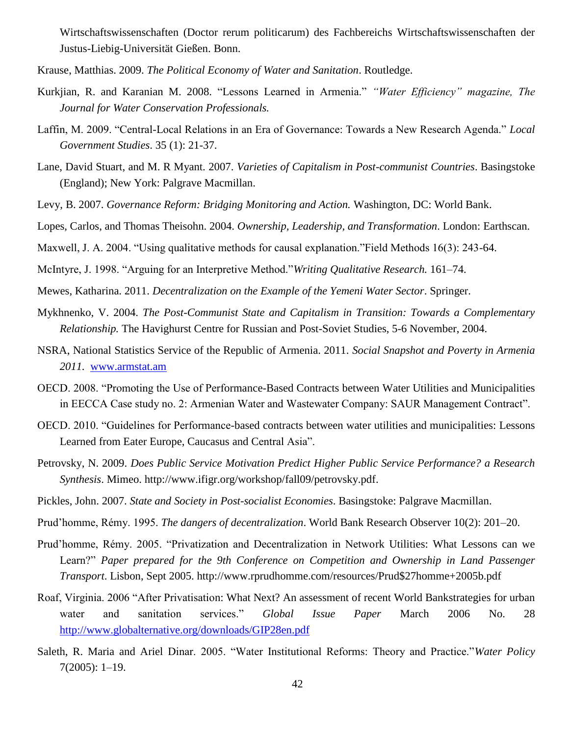Wirtschaftswissenschaften (Doctor rerum politicarum) des Fachbereichs Wirtschaftswissenschaften der Justus-Liebig-Universität Gießen. Bonn.

- Krause, Matthias. 2009. *The Political Economy of Water and Sanitation*. Routledge.
- Kurkjian, R. and Karanian M. 2008. "Lessons Learned in Armenia." *"Water Efficiency" magazine, The Journal for Water Conservation Professionals.*
- Laffin, M. 2009. "Central-Local Relations in an Era of Governance: Towards a New Research Agenda." *Local Government Studies*. 35 (1): 21-37.
- Lane, David Stuart, and M. R Myant. 2007. *Varieties of Capitalism in Post-communist Countries*. Basingstoke (England); New York: Palgrave Macmillan.
- Levy, B. 2007. *Governance Reform: Bridging Monitoring and Action.* Washington, DC: World Bank.
- Lopes, Carlos, and Thomas Theisohn. 2004. *Ownership, Leadership, and Transformation*. London: Earthscan.
- Maxwell, J. A. 2004. "Using qualitative methods for causal explanation."Field Methods 16(3): 243-64.
- McIntyre, J. 1998. "Arguing for an Interpretive Method."*Writing Qualitative Research.* 161–74.
- Mewes, Katharina. 2011. *Decentralization on the Example of the Yemeni Water Sector*. Springer.
- Mykhnenko, V. 2004. *The Post-Communist State and Capitalism in Transition: Towards a Complementary Relationship.* The Havighurst Centre for Russian and Post-Soviet Studies, 5-6 November, 2004.
- NSRA, National Statistics Service of the Republic of Armenia. 2011. *Social Snapshot and Poverty in Armenia 2011.* [www.armstat.am](http://www.armstat.am/)
- OECD. 2008. "Promoting the Use of Performance-Based Contracts between Water Utilities and Municipalities in EECCA Case study no. 2: Armenian Water and Wastewater Company: SAUR Management Contract".
- OECD. 2010. "Guidelines for Performance-based contracts between water utilities and municipalities: Lessons Learned from Eater Europe, Caucasus and Central Asia".
- Petrovsky, N. 2009. *Does Public Service Motivation Predict Higher Public Service Performance? a Research Synthesis*. Mimeo. http://www.ifigr.org/workshop/fall09/petrovsky.pdf.
- Pickles, John. 2007. *State and Society in Post-socialist Economies*. Basingstoke: Palgrave Macmillan.
- Prud'homme, Rémy. 1995. *The dangers of decentralization*. World Bank Research Observer 10(2): 201–20.
- Prud'homme, Rémy. 2005. "Privatization and Decentralization in Network Utilities: What Lessons can we Learn?" *Paper prepared for the 9th Conference on Competition and Ownership in Land Passenger Transport*. Lisbon, Sept 2005. http://www.rprudhomme.com/resources/Prud\$27homme+2005b.pdf
- Roaf, Virginia. 2006 "After Privatisation: What Next? An assessment of recent World Bankstrategies for urban water and sanitation services." *Global Issue Paper* March 2006 No. 28 <http://www.globalternative.org/downloads/GIP28en.pdf>
- Saleth, R. Maria and Ariel Dinar. 2005. "Water Institutional Reforms: Theory and Practice."*Water Policy* 7(2005): 1–19.